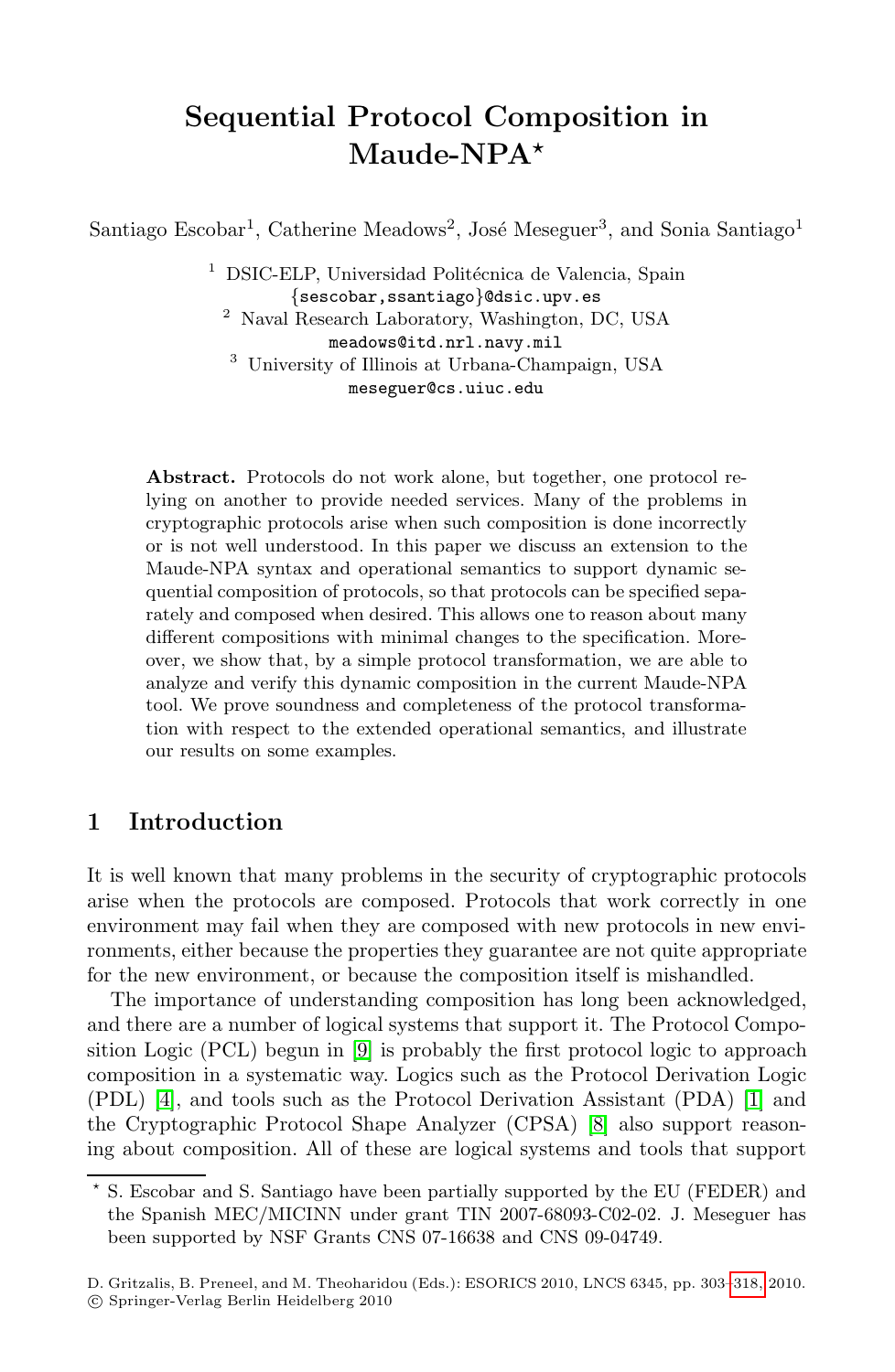# **Sequential Protocol Composition in Maude-NPA***-*

Santiago Escobar<sup>1</sup>, Catherine Meadows<sup>2</sup>, José Meseguer<sup>3</sup>, and Sonia Santiago<sup>1</sup>

 $^1$  DSIC-ELP, Universidad Politécnica de Valencia, Spain {sescobar,ssantiago}@dsic.upv.es <sup>2</sup> Naval Research Laboratory, Washington, DC, USA meadows@itd.nrl.navy.mil <sup>3</sup> University of Illinois at Urbana-Champaign, USA meseguer@cs.uiuc.edu

**Abstract.** Protocols do not work alone, but together, one protocol relying on another to provide needed services. Many of the problems in cryptographic protocols arise when such composition is done incorrectly or is not well understood. In this paper we discuss an extension to the Maude-NPA syntax and operational semantics to support dynamic sequential composition of protocols, so that protocols can be specified separately and composed when desired. This allows one to reason about many different compositions with minimal changes to the specification. Moreover, we show that, by a simple protocol transformation, we are able to analyze and verify this dynamic composition in the current Maude-NPA tool. We prove soundness and completeness of the protocol transformation with respect to the extended operational semantics, and illustrate our results on some examples.

# **1 Introduction**

It is well k[no](#page-15-0)wn that many problems in the security of cryptographic protocols arise when the protocols are composed. Protocols t[hat](#page-14-0) work correctly in one environment may fail when they are [co](#page-15-1)mposed with new protocols in new environments, either because the properties they guarantee are not quite appropriate for the new environment, or because the composition itself is mishandled.

The importance of understanding composition has long been acknowledged, and there are a number of logical systems that support it. The Protocol Composition Logic (PCL) begun in [9] is probably the first protocol logic to approach composition in a systematic way. Logics such as the Protocol Derivation Logic (PDL) [4], and tools such as the Protocol Derivati[on A](#page-15-2)ssistant (PDA) [1] and the Cryptographic Protocol Shape Analyzer (CPSA) [8] also support reasoning about composition. All of these are logical systems and tools that support

<sup>-</sup> S. Escobar and S. Santiago have been partially supported by the EU (FEDER) and the Spanish MEC/MICINN under grant TIN 2007-68093-C02-02. J. Meseguer has been supported by NSF Grants CNS 07-16638 and CNS 09-04749.

D. Gritzalis, B. Preneel, and M. Theoharidou (Eds.): ESORICS 2010, LNCS 6345, pp. 303–318, 2010. -c Springer-Verlag Berlin Heidelberg 2010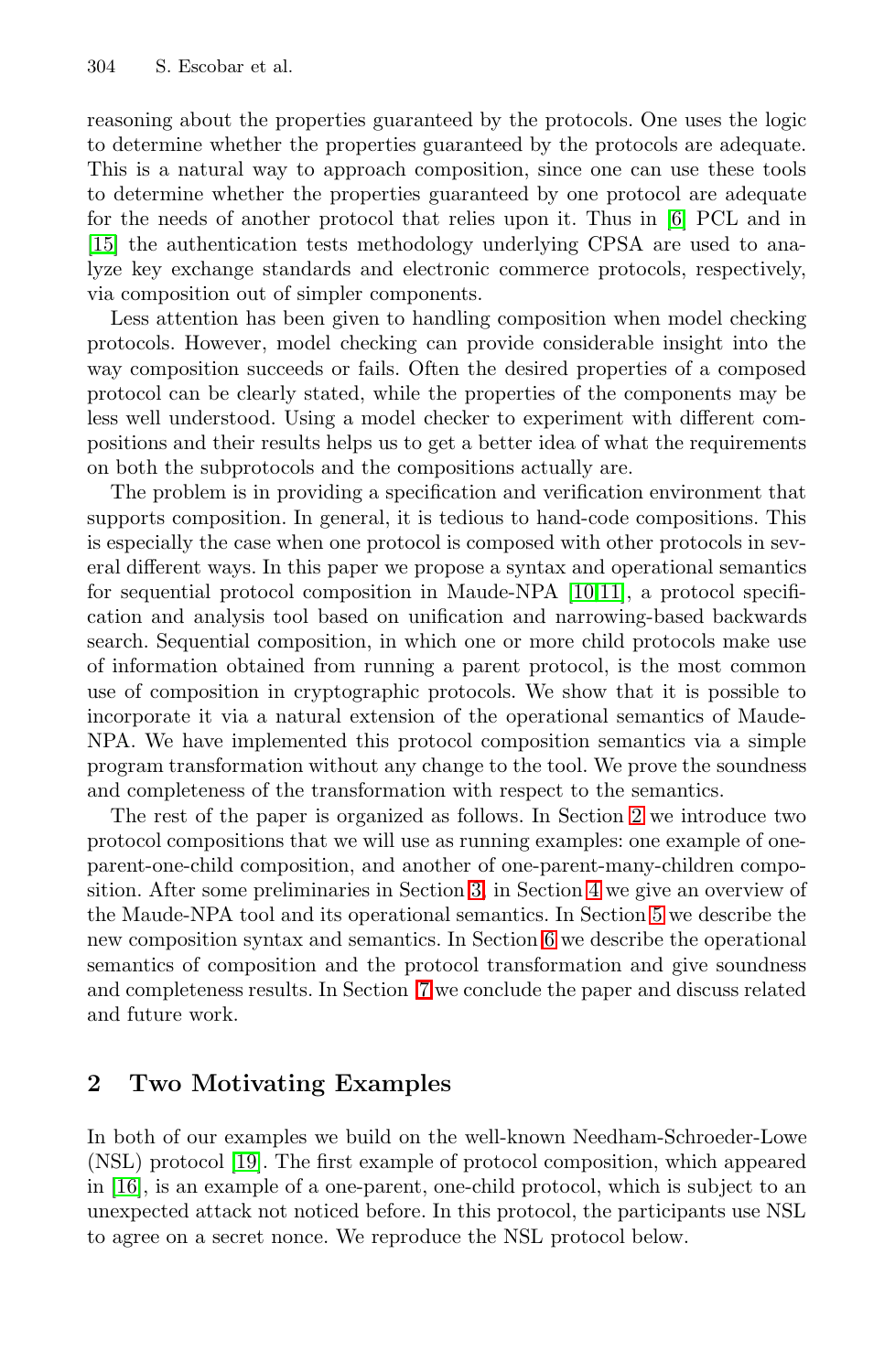reasoning about the properties guaranteed by the protocols. One uses the logic to determine whether the properties guaranteed by the protocols are adequate. This is a natural way to approach composition, since one can use these tools to determine whether the properties guaranteed by one protocol are adequate for the needs of another protocol that relies upon it. Thus in [6] PCL and in [15] the authentication tests methodology underlying CPSA are used to analyze key exchange standards and electronic commerce protocols, respectively, via composition out of simpler components.

Less attention has been given to handling composition when model checking protocols. However, model checking can provide considerable insight into the way composition succeeds or fails. Often the desired properties of a composed protocol can be clearly stated, wh[ile](#page-15-3) [the](#page-15-4) properties of the components may be less well understood. Using a model checker to experiment with different compositions and their results helps us to get a better idea of what the requirements on both the subprotocols and the compositions actually are.

The problem is in providing a specification and verification environment that supports composition. In general, it is tedious to hand-code compositions. This is especially the case when one protocol is composed with other protocols in several different ways. In this paper we propose a syntax and operational semantics for sequential protocol composition in Maude-NPA [10,11], a protocol specification and analysis tool based on unific[at](#page-1-0)ion and narrowing-based backwards search. Sequential composition, in which one or more child protocols make use of information obtained from running a parent protocol, is the most common use of composition in [cry](#page-4-0)ptographi[c p](#page-4-1)rotocols. We show that it is possible to incorporate it via a natural extension of t[he](#page-6-0) operational semantics of Maude-NPA. We have implemented t[his](#page-9-0) protocol composition semantics via a simple program transformation without any change to the tool. We prove the soundness and completenes[s o](#page-13-0)f the transformation with respect to the semantics.

<span id="page-1-0"></span>The rest of the paper is organized as follows. In Section 2 we introduce two protocol compositions that we will use as running examples: one example of oneparent-one-child composition, and another of one-parent-many-children composition. After some preliminaries in Section 3, in Section 4 we give an overview of the Maude-NPA tool and its operational semantics. In Section 5 we describe the new composition syntax and semantics. In Section 6 we describe the operational semantics of composition and the protocol transformation and give soundness and completeness results. In Section 7 we conclude the paper and discuss related and future work.

# **2 Two Motivating Examples**

In both of our examples we build on the well-known Needham-Schroeder-Lowe (NSL) protocol [19]. The first example of protocol composition, which appeared in [16], is an example of a one-parent, one-child protocol, which is subject to an unexpected attack not noticed before. In this protocol, the participants use NSL to agree on a secret nonce. We reproduce the NSL protocol below.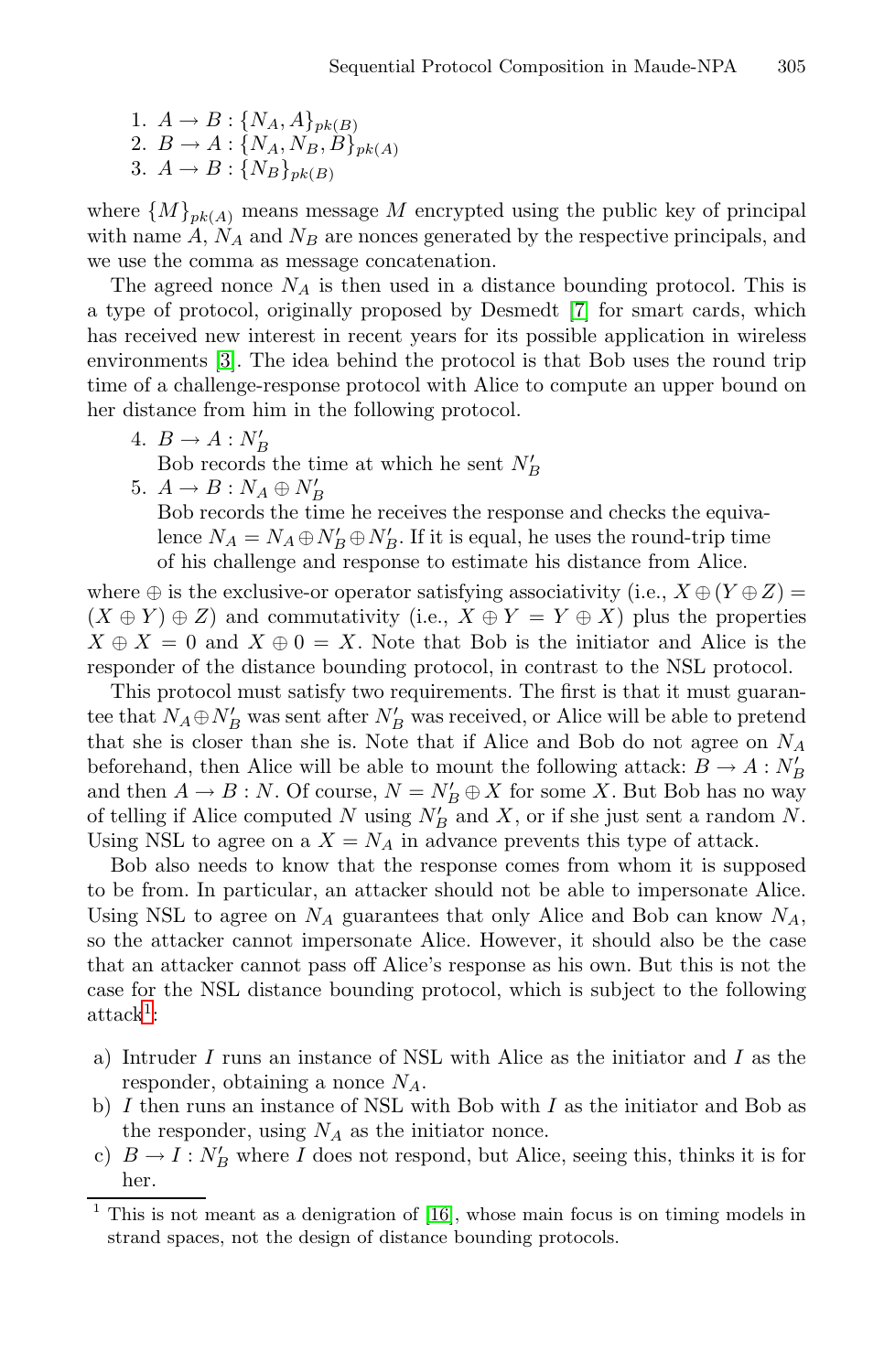1. 
$$
A \to B : \{N_A, A\}_{pk(B)}
$$
  
\n2.  $B \to A : \{N_A, N_B, B\}_{pk(A)}$   
\n3.  $A \to B : \{N_B\}_{pk(B)}$ 

where  $\{M\}_{pk(A)}$  means message M encrypted using the public key of principal with name  $A$ ,  $N_A$  and  $N_B$  are nonces generated by the respective principals, and we use the comma as message concatenation.

The agreed nonce  $N_A$  is then used in a distance bounding protocol. This is a type of protocol, originally proposed by Desmedt [7] for smart cards, which has received new interest in recent years for its possible application in wireless environments [3]. The idea behind the protocol is that Bob uses the round trip time of a challenge-response protocol with Alice to compute an upper bound on her distance from him in the following protocol.

4.  $B \rightarrow A : N'_B$ 

Bob records the time at which he sent  $N'_B$ 

5.  $A \rightarrow B : N_A \oplus N'_B$ 

Bob records the time he receives the response and checks the equivalence  $N_A = N_A \oplus N'_B \oplus N'_B$ . If it is equal, he uses the round-trip time of his challenge and response to estimate his distance from Alice.

where  $\oplus$  is the exclusive-or operator satisfying associativity (i.e.,  $X \oplus (Y \oplus Z) =$  $(X \oplus Y) \oplus Z$  and commutativity (i.e.,  $X \oplus Y = Y \oplus X$ ) plus the properties  $X \oplus X = 0$  and  $X \oplus 0 = X$ . Note that Bob is the initiator and Alice is the responder of the distance bounding protocol, in contrast to the NSL protocol.

This protocol must satisfy two requirements. The first is that it must guarantee that  $N_A \oplus N_B'$  was sent after  $N_B'$  was received, or Alice will be able to pretend that she is closer than she is. Note that if Alice and Bob do not agree on  $N_A$ beforehand, then Alice will be able to mount the following attack:  $B \to A : N'_B$ and then  $A \to B : N$ . Of course,  $N = N'_B \oplus X$  for some X. But Bob has no way of telling if Alice computed N using  $N'_B$  and X, or if she just sent a random N. Using NSL to agree on a  $X = N_A$  in advance prevents this type of attack.

Bob also needs to know that the response comes from whom it is supposed to be from. In particular, an attacker should not be able to impersonate Alice. Using NSL to agree on  $N_A$  guarantees that only Alice and Bob can know  $N_A$ , so the attacker cannot impersonate Alice. However, it should also be the case that an attacker cannot pass off Alice's response as his own. But this is not the case for the NSL distance bounding protocol, which is subject to the following  $\text{attack}^1$ :

- a) Intruder I runs an instance of NSL with Alice as the initiator and I as the responder, obtaining a nonce  $N_A$ .
- b) I then runs an instance of NSL with Bob with I as the initiator and Bob as the responder, using  $N_A$  as the initiator nonce.
- c)  $B \to I : N'_B$  where I does not respond, but Alice, seeing this, thinks it is for her.

<sup>1</sup> This is not meant as a denigration of [16], whose main focus is on timing models in strand spaces, not the design of distance bounding protocols.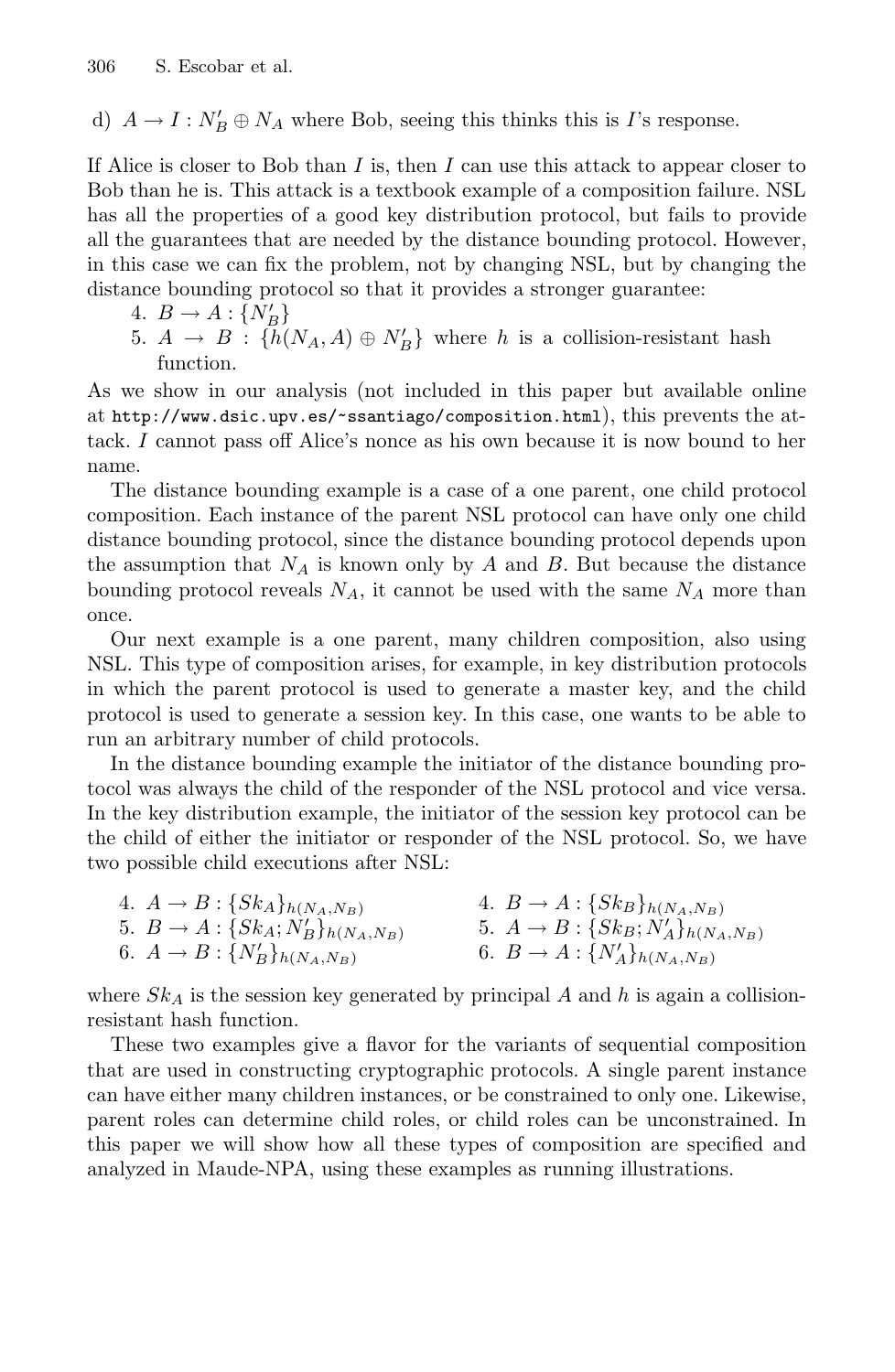d)  $A \to I : N'_B \oplus N_A$  where Bob, seeing this thinks this is *I*'s response.

If Alice is closer to Bob than  $I$  is, then  $I$  can use this attack to appear closer to Bob than he is. This attack is a textbook example of a composition failure. NSL [has all the properties of a good key d](http://www.dsic.upv.es/~ssantiago/composition.html)istribution protocol, but fails to provide all the guarantees that are needed by the distance bounding protocol. However, in this case we can fix the problem, not by changing NSL, but by changing the distance bounding protocol so that it provides a stronger guarantee:

- 4.  $B \to A : \{N'_B\}$
- 5.  $A \rightarrow B : \{h(N_A, A) \oplus N'_B\}$  where h is a collision-resistant hash function.

As we show in our analysis (not included in this paper but available online at http://www.dsic.upv.es/~ssantiago/composition.html), this prevents the attack. I cannot pass off Alice's nonce as his own because it is now bound to her name.

The distance bounding example is a case of a one parent, one child protocol composition. Each instance of the parent NSL protocol can have only one child distance bounding protocol, since the distance bounding protocol depends upon the assumption that  $N_A$  is known only by A and B. But because the distance bounding protocol reveals  $N_A$ , it cannot be used with the same  $N_A$  more than once.

Our next example is a one parent, many children composition, also using NSL. This type of composition arises, for example, in key distribution protocols in which the parent protocol is used to generate a master key, and the child protocol is used to generate a session key. In this case, one wants to be able to run an arbitrary number of child protocols.

In the distance bounding example the initiator of the distance bounding protocol was always the child of the responder of the NSL protocol and vice versa. In the key distribution example, the initiator of the session key protocol can be the child of either the initiator or responder of the NSL protocol. So, we have two possible child executions after NSL:

| 4. $A \to B : \{Sk_A\}_{h(N_A, N_B)}$       | 4. $B \to A : \{Sk_B\}_{h(N_A, N_B)}$      |
|---------------------------------------------|--------------------------------------------|
| 5. $B \to A : \{Sk_A; N'_B\}_{h(N_A, N_B)}$ | 5. $A \to B : \{Sk_B; N'_A\}_{h(N_A,N_B)}$ |
| 6. $A \to B : \{N'_B\}_{h(N_A,N_B)}$        | 6. $B \to A : \{N'_A\}_{h(N_A,N_B)}$       |

where  $Sk<sub>A</sub>$  is the session key generated by principal A and h is again a collisionresistant hash function.

These two examples give a flavor for the variants of sequential composition that are used in constructing cryptographic protocols. A single parent instance can have either many children instances, or be constrained to only one. Likewise, parent roles can determine child roles, or child roles can be unconstrained. In this paper we will show how all these types of composition are specified and analyzed in Maude-NPA, using these examples as running illustrations.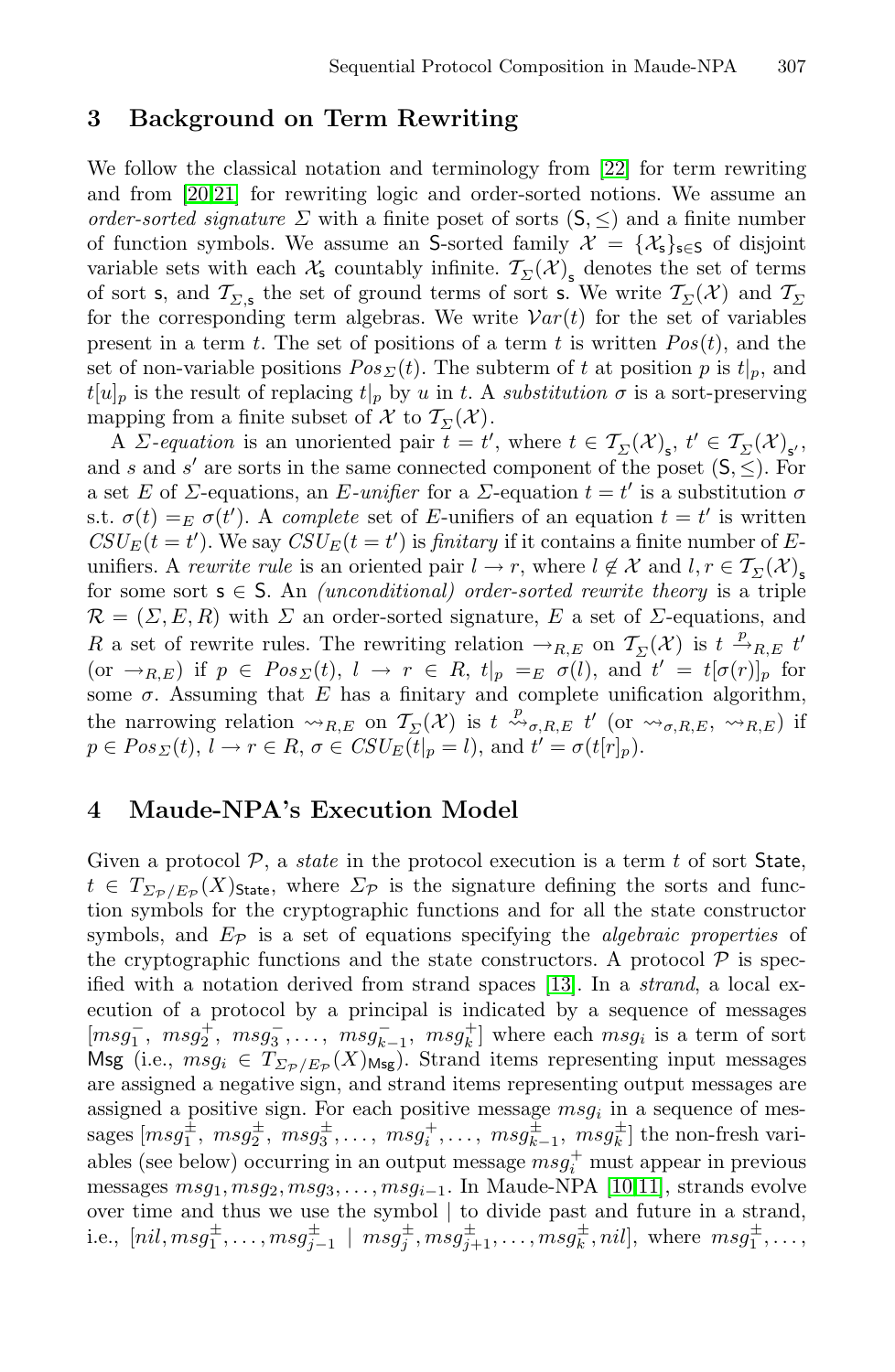# <span id="page-4-0"></span>**3 Background on Term Rewriting**

We follow the classical notation and terminology from [22] for term rewriting and from [20,21] for rewriting logic and order-sorted notions. We assume an *order-sorted signature*  $\Sigma$  with a finite poset of sorts  $(S, \leq)$  and a finite number of function symbols. We assume an S-sorted family  $\mathcal{X} = {\mathcal{X}_s}_{s \in S}$  of disjoint variable sets with each  $\mathcal{X}_s$  countably infinite.  $\mathcal{T}_{\Sigma}(\mathcal{X})_s$  denotes the set of terms of sort s, and  $\mathcal{T}_{\Sigma,\mathsf{s}}$  the set of ground terms of sort s. We write  $\mathcal{T}_{\Sigma}(\mathcal{X})$  and  $\mathcal{T}_{\Sigma}$ for the corresponding term algebras. We write  $Var(t)$  for the set of variables present in a term  $t$ . The set of positions of a term  $t$  is written  $Pos(t)$ , and the set of non-variable positions  $Pos_{\Sigma}(t)$ . The subterm of t at position p is  $t|_p$ , and  $t[u]_p$  is the result of replacing  $t|_p$  by u in t. A *substitution*  $\sigma$  is a sort-preserving mapping from a finite subset of X to  $\mathcal{T}_{\Sigma}(\mathcal{X})$ .

<span id="page-4-1"></span>A *Σ*-equation is an unoriented pair  $t = t'$ , where  $t \in \mathcal{T}_{\Sigma}(\mathcal{X})_{s}$ ,  $t' \in \mathcal{T}_{\Sigma}(\mathcal{X})_{s'}$ ,  $d \leq t' \leq t'$  and  $s'$  are sorts in the same connected component of the poset  $(S \leq t')$  For and s and s' are sorts in the same connected component of the poset  $(S, \le)$ . For a set E of  $\Sigma$ -equations, an E-unifier for a  $\Sigma$ -equation  $t = t'$  is a substitution  $\sigma$ s.t.  $\sigma(t) =_E \sigma(t')$ . A *complete* set of *E*-unifiers of an equation  $t = t'$  is written  $CSU_E(t = t')$ . We say  $CSU_E(t = t')$  is *finitary* if it contains a finite number of Eunifiers. A *rewrite rule* is an oriented pair  $l \to r$ , where  $l \notin \mathcal{X}$  and  $l, r \in \mathcal{T}_{\Sigma}(\mathcal{X})$ . for some sort  $s \in S$ . An *(unconditional) order-sorted rewrite theory* is a triple  $\mathcal{R} = (\Sigma, E, R)$  with  $\Sigma$  an order-sorted signature, E a set of  $\Sigma$ -equations, and R a set of rewrite rules. The rewriting relation  $\rightarrow_{R,E}$  on  $\mathcal{T}_{\Sigma}(\mathcal{X})$  is  $t \stackrel{p}{\rightarrow}_{R,E} t'$  $(\text{or } \rightarrow_{R,E})$  if  $p \in Pos_{\Sigma}(t), l \rightarrow r \in R$ ,  $t|_p =_E \sigma(l)$ , and  $t' = t[\sigma(r)]_p$  for some  $\sigma$ . Assuming that E has a finitary and complete unification algorithm, the narrowing relation  $\leadsto_{R,E}$  on  $\mathcal{T}_{\Sigma}(\mathcal{X})$  is  $t \stackrel{p}{\leadsto}_{\sigma,R,E} t'$  (or  $\leadsto_{\sigma,R,E}$ ,  $\leadsto_{R,E}$ ) if  $p \in Pos_{\Sigma}(t), l \to r \in R, \sigma \in \text{CSU}_{E}(t|_{p} = l), \text{ and } t' = \sigma(t[r]_{p}).$ 

# 4 Maude-NPA's Exec[uti](#page-15-5)on Model

Given a protocol  $P$ , a *state* in the protocol execution is a term  $t$  of sort State,  $t \in T_{\Sigma_{\mathcal{P}}/E_{\mathcal{P}}}(X)$ <sub>State</sub>, where  $\Sigma_{\mathcal{P}}$  is the signature defining the sorts and function symbols for the cryptographic functions and for all the state constructor symbols, and  $E_p$  is a set of equations specifying the *algebraic properties* of the cryptographic functions and the state constructors. A protocol  $P$  is specified with a notation derived from str[an](#page-15-3)[d sp](#page-15-4)aces [13]. In a *strand*, a local execution of a protocol by a principal is indicated by a sequence of messages  $[msg_1^-, msg_2^+, msg_3^-, \ldots, msg_{k-1}^-, msg_k^+]$  where each  $msg_i$  is a term of sort Msg (i.e.,  $msg_i \in T_{\Sigma_{\mathcal{P}}/E_{\mathcal{P}}}(X)_{\text{Msg}}$ ). Strand items representing input messages are assigned a negative sign, and strand items representing output messages are assigned a positive sign. For each positive message  $msg_i$  in a sequence of messages  $(msg_1^{\pm}, \, msg_2^{\pm}, \, msg_3^{\pm}, \ldots, \, msg_i^{\pm}, \ldots, \, msg_{k-1}^{\pm}, \, msg_k^{\pm}]$  the non-fresh variables (see below) occurring in an output message  $msg_i^+$  must appear in previous messages  $msg_1, msg_2, msg_3, \ldots, msg_{i-1}$ . In Maude-NPA [10,11], strands evolve over time and thus we use the symbol | to divide past and future in a strand, i.e.,  $[nil, msg_1^{\pm}, \ldots, msg_{j-1}^{\pm} \mid msg_j^{\pm}, msg_{j+1}^{\pm}, \ldots, msg_k^{\pm}, nil]$ , where  $msg_1^{\pm}, \ldots$ ,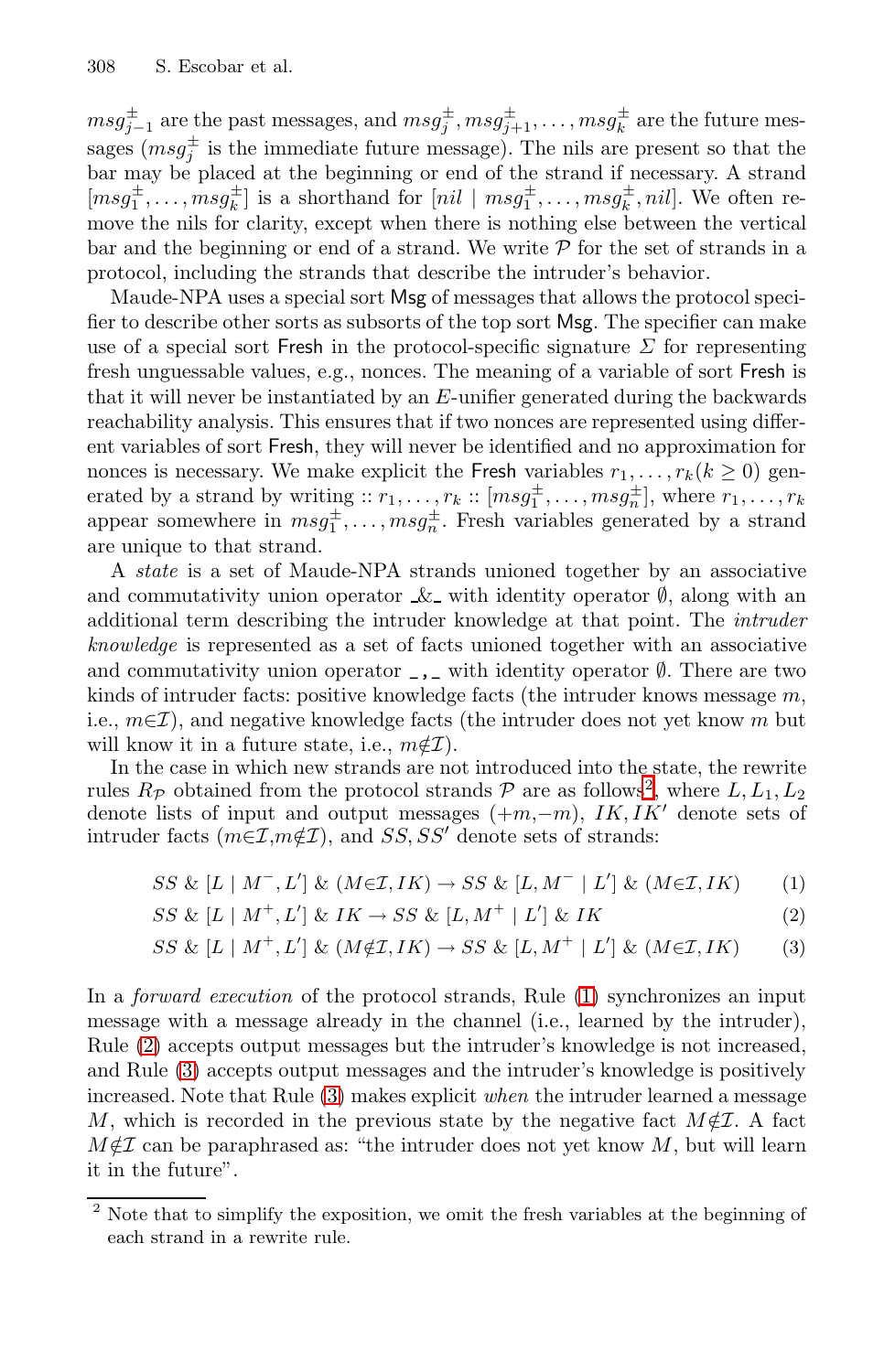$msg_{j-1}^{\pm}$  are the past messages, and  $msg_j^{\pm}, msg_{j+1}^{\pm}, \ldots, msg_k^{\pm}$  are the future messages  $(msg_j^{\pm}$  is the immediate future message). The nils are present so that the bar may be placed at the beginning or end of the strand if necessary. A strand  $[msg_1^{\pm}, \ldots, msg_k^{\pm}]$  is a shorthand for  $[nil \mid msg_1^{\pm}, \ldots, msg_k^{\pm}, nil]$ . We often remove the nils for clarity, except when there is nothing else between the vertical bar and the beginning or end of a strand. We write  $P$  for the set of strands in a protocol, including the strands that describe the intruder's behavior.

Maude-NPA uses a special sort Msg of messages that allows the protocol specifier to describe other sorts as subsorts of the top sort Msg. The specifier can make use of a special sort Fresh in the protocol-specific signature  $\Sigma$  for representing fresh unguessable values, e.g., nonces. The meaning of a variable of sort Fresh is that it will never be instantiated by an E-unifier generated during the backwards reachability analysis. This ensures that if two nonces are represented using different variables of sort Fresh, they will never be identified and no approximation for nonces is necessary. We make explicit the Fresh variables  $r_1, \ldots, r_k (k \geq 0)$  gennonces is necessary. We make explicit the Fresh variables  $r_1, \ldots, r_k$  ( $k \ge 0$ ) generated by a strand by writing ::  $r_1, \ldots, r_k$  ::  $[msg_1^{\pm}, \ldots, msg_n^{\pm}]$ , where  $r_1, \ldots, r_k$ appear somewhere in  $msg_1^{\pm}, \ldots, msg_n^{\pm}$ . Fresh variables generated by a strand are unique to that strand.

A *state* is a set of Maude-NPA strands unioned together by an associative and commutativity union operator  $\&$  wi[th](#page-5-0) identity operator  $\emptyset$ , along with an additional term describing the intruder knowledge at that point. The *intruder knowledge* is represented as a set of facts unioned together with an associative and commutativity union operator  $\overline{\phantom{a}}$ , with identity operator  $\emptyset$ . There are two kinds of intruder facts: positive knowledge facts (the intruder knows message  $m$ , i.e.,  $m\in\mathcal{I}$ ), and negative knowledge facts (the intruder does not yet know m but will know it in a future state, i.e.,  $m\notin\mathcal{I}$ ).

In the case in which new strands are not introduced into the state, the rewrite rules  $R_p$  obtained from the protocol strands  $\mathcal P$  are as follows<sup>2</sup>, where  $L, L_1, L_2$ denote lists of input and output [me](#page-5-1)ssages  $(+m,-m)$ , IK, IK' denote sets of intruder facts  $(m\in\mathcal{I},m\notin\mathcal{I})$ , and SS, SS' denote sets of strands:

<span id="page-5-3"></span><span id="page-5-2"></span><span id="page-5-1"></span>
$$
SS \& [L \mid M^-, L'] \& (M \in \mathcal{I}, IK) \rightarrow SS \& [L, M^- \mid L'] \& (M \in \mathcal{I}, IK) \tag{1}
$$

$$
SS \& [L \mid M^+, L'] \& IK \rightarrow SS \& [L, M^+ \mid L'] \& IK \tag{2}
$$

$$
SS \& [L \mid M^+, L'] \& (M \notin \mathcal{I}, IK) \rightarrow SS \& [L, M^+ \mid L'] \& (M \in \mathcal{I}, IK) \tag{3}
$$

<span id="page-5-0"></span>In a *forward execution* of the protocol strands, Rule (1) synchronizes an input message with a message already in the channel (i.e., learned by the intruder), Rule (2) accepts output messages but the intruder's knowledge is not increased, and Rule (3) accepts output messages and the intruder's knowledge is positively increased. Note that Rule (3) makes explicit *when* the intruder learned a message M, which is recorded in the previous state by the negative fact  $M \notin \mathcal{I}$ . A fact  $M \notin \mathcal{I}$  can be paraphrased as: "the intruder does not yet know M, but will learn it in the future".

<sup>2</sup> Note that to simplify the exposition, we omit the fresh variables at the beginning of each strand in a rewrite rule.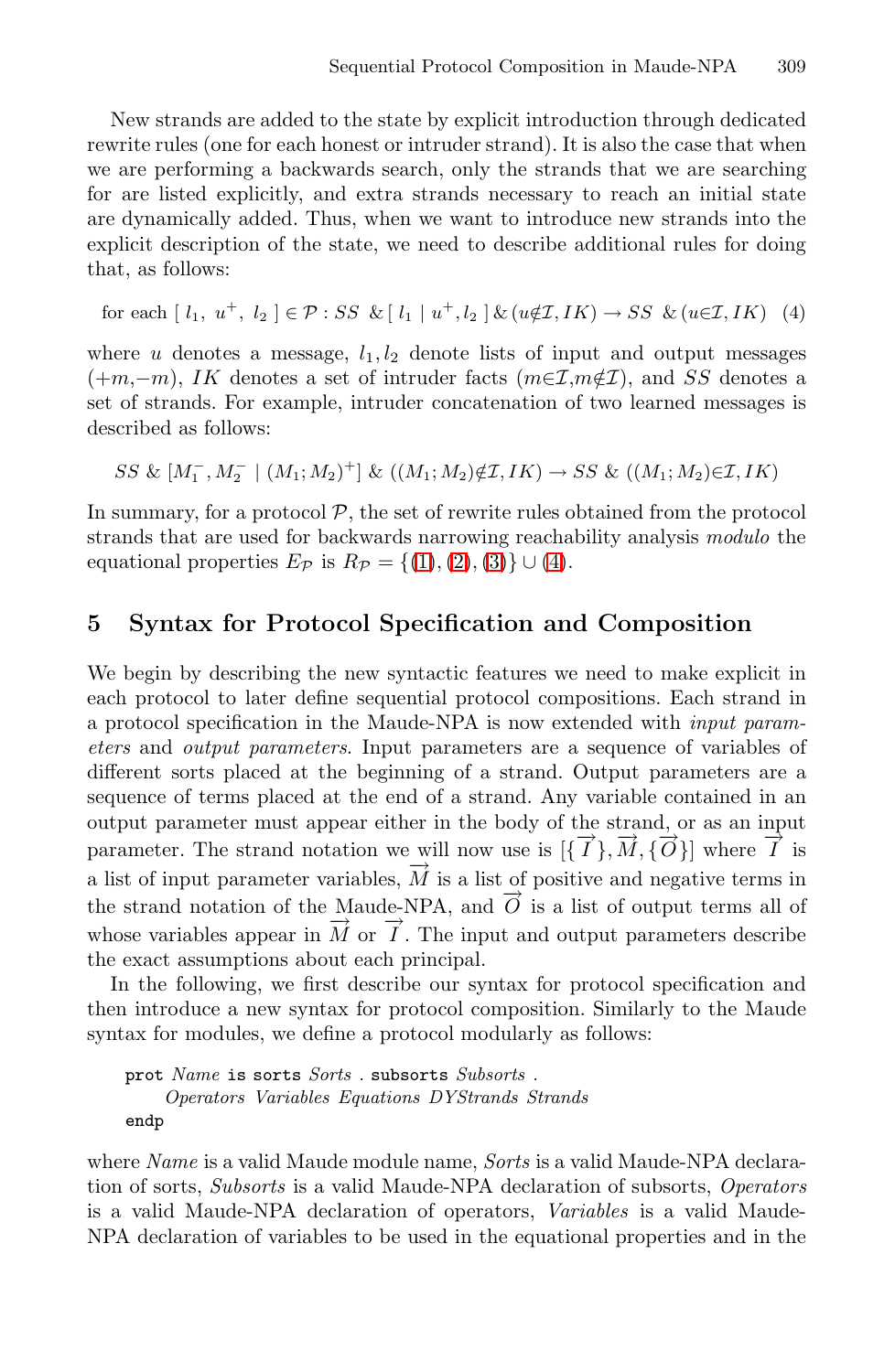<span id="page-6-1"></span>New strands are added to the state by explicit introduction through dedicated rewrite rules (one for each honest or intruder strand). It is also the case that when we are performing a backwards search, only the strands that we are searching for are listed explicitly, and extra strands necessary to reach an initial state are dynamically added. Thus, when we want to introduce new strands into the explicit description of the state, we need to describe additional rules for doing that, as follows:

for each 
$$
[l_1, u^+, l_2] \in \mathcal{P}: SS \& [l_1 | u^+, l_2] \& (u \notin \mathcal{I}, IK) \rightarrow SS \& (u \in \mathcal{I}, IK)
$$
 (4)

<span id="page-6-0"></span>where u denotes a message,  $l_1, l_2$  denote lists of input and output messages  $(+m,-m)$ , IK d[en](#page-5-1)o[tes](#page-5-3) [a](#page-5-2) [s](#page-5-2)et o[f](#page-6-1) [in](#page-6-1)truder facts  $(m\in \mathcal{I},m\notin \mathcal{I})$ , and SS denotes a set of strands. For example, intruder concatenation of two learned messages is described as follows:

SS & [M<sub>1</sub>, M<sub>2</sub><sup>-</sup></sup> | (M<sub>1</sub>; M<sub>2</sub>)<sup>+</sup>] & ((M<sub>1</sub>; M<sub>2</sub>)∉I, IK) → SS & ((M<sub>1</sub>; M<sub>2</sub>)∈I, IK)

In summary, for a protocol  $P$ , the set of rewrite rules obtained from the protocol strands that are used for backwards narrowing reachability analysis *modulo* the equational properties  $E_{\mathcal{P}}$  is  $R_{\mathcal{P}} = \{(1), (2), (3)\} \cup (4)$ .

### **5 Syntax for Protocol Specification and Composition**

We begin by describing the new syntactic features we need to make explicit in each protocol to later define sequential protocol compositions. Each strand in a protocol specification in the Maude-NPA is now extended with *input parameters* and *output parameters*. Input parameters are a sequence of variables of different sorts placed at the beginning of a strand. Output parameters are a sequence of terms placed at the end of a strand. Any variable contained in an output parameter must appear either in the body of the strand, or as an input parameter. The strand notation we will now use is  $\{\overrightarrow{I}, \overrightarrow{M}, \{\overrightarrow{O}\}\}\$  where  $\overrightarrow{I}$  is a list of input parameter variables,  $\overrightarrow{M}$  is a list of positive and negative terms in the strand notation of the Maude-NPA, and  $\overrightarrow{O}$  is a list of output terms all of whose variables appear in  $\vec{M}$  or  $\vec{I}$ . The input and output parameters describe the exact assumptions about each principal.

In the following, we first describe our syntax for protocol specification and then introduce a new syntax for protocol composition. Similarly to the Maude syntax for modules, we define a protocol modularly as follows:

prot *Name* is sorts *Sorts* . subsorts *Subsorts* . *Operators Variables Equations DYStrands Strands* endp

where *Name* is a valid Maude module name, *Sorts* is a valid Maude-NPA declaration of sorts, *Subsorts* is a valid Maude-NPA declaration of subsorts, *Operators* is a valid Maude-NPA declaration of operators, *Variables* is a valid Maude-NPA declaration of variables to be used in the equational properties and in the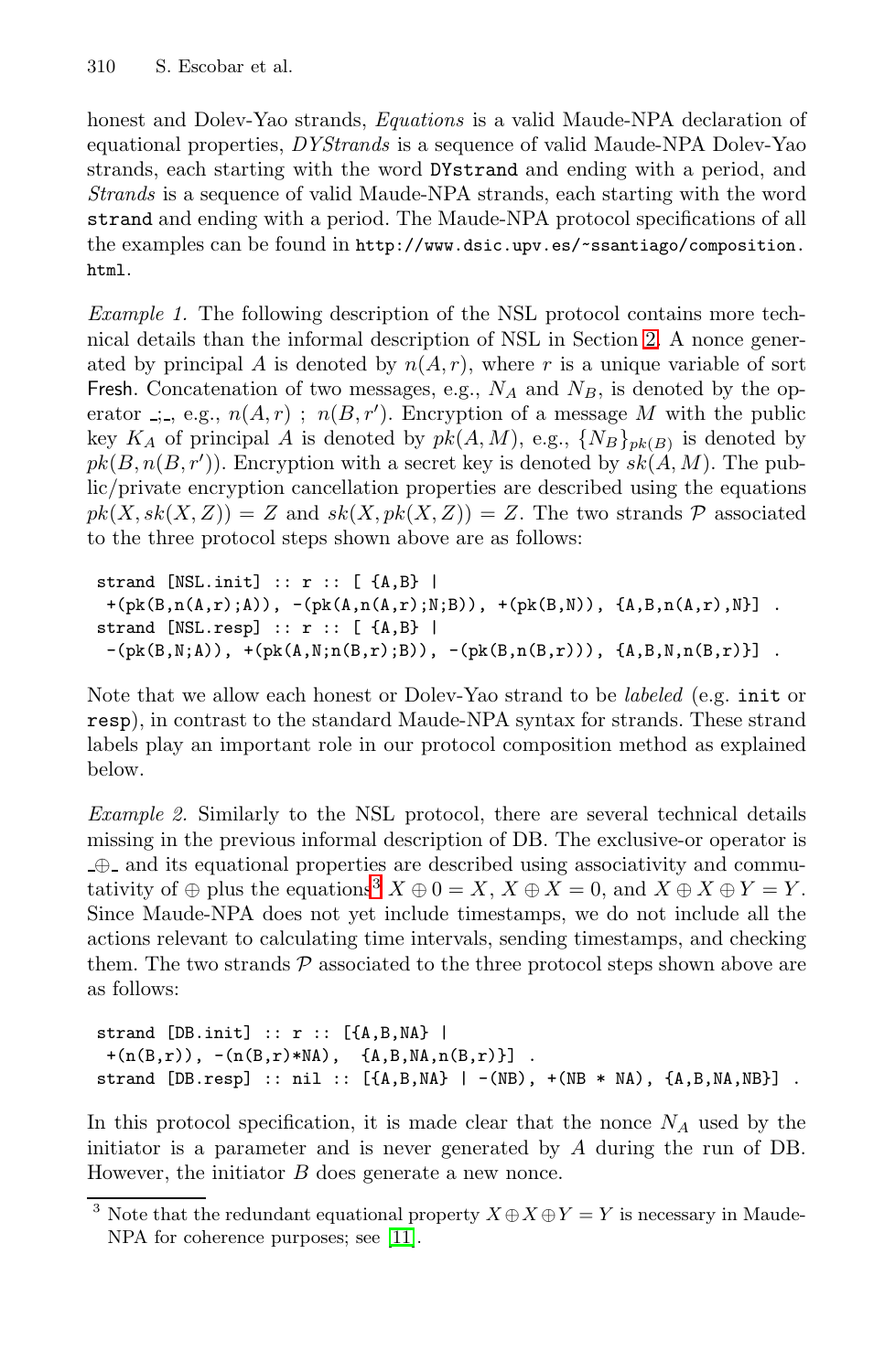honest and Dolev-Yao strands, *Equations* is a valid Maude-NPA declaration of equational properties, *DYStrands* is a seq[uen](#page-1-0)ce of valid Maude-NPA Dolev-Yao strands, each starting with the word DYstrand and ending with a period, and *Strands* is a sequence of valid Maude-NPA strands, each starting with the word strand and ending with a period. The Maude-NPA protocol specifications of all the examples can be found in http://www.dsic.upv.es/~ssantiago/composition. html.

*Example 1.* The following description of the NSL protocol contains more technical details than the informal description of NSL in Section 2. A nonce generated by principal A is denoted by  $n(A, r)$ , where r is a unique variable of sort Fresh. Concatenation of two messages, e.g.,  $N_A$  and  $N_B$ , is denoted by the operator  $\Box$ , e.g.,  $n(A,r)$ ;  $n(B,r')$ . Encryption of a message M with the public key  $K_A$  of principal A is denoted by  $pk(A, M)$ , e.g.,  $\{N_B\}_{pk(B)}$  is denoted by  $pk(B, n(B, r'))$ . Encryption with a secret key is denoted by  $sk(A, M)$ . The public/private encryption cancellation properties are described using the equations  $pk(X, sk(X, Z)) = Z$  and  $sk(X, pk(X, Z)) = Z$ . The two strands P associated to the three protocol steps shown above are as follows:

strand [NSL.init] :: r :: [ {A,B} |  $+\left(\text{pk}(B,n(A,r);A)\right), -\left(\text{pk}(A,n(A,r);N;B)\right), +\left(\text{pk}(B,N)\right), \ \{A,B,n(A,r),N\}\right] \ .$ strand [NSL.resp] :: r :: [ {A,B} |  $-(pk(B,N;A)), +(pk(A,N;n(B,r);B)), -(pk(B,n(B,r))), {A,B,N,n(B,r)}].$ 

Note that w[e](#page-7-0) allow each honest or Dolev-Yao strand to be *labeled* (e.g. init or resp), in contrast to the standard Maude-NPA syntax for strands. These strand labels play an important role in our protocol composition method as explained below.

*Example 2.* Similarly to the NSL protocol, there are several technical details missing in the previous informal description of DB. The exclusive-or operator is ⊕ and its equational properties are described using associativity and commutativity of  $\oplus$  plus the equations<sup>3</sup>  $X \oplus 0 = X$ ,  $X \oplus X = 0$ , and  $X \oplus X \oplus Y = Y$ . Since Maude-NPA does not yet include timestamps, we do not include all the actions relevant to calculating time intervals, sending timestamps, and checking them. The two strands  $\mathcal P$  associated to the three protocol steps shown above are as follows:

```
strand [DB.init] :: r :: [{A,B,NA} |
+(n(B,r)), -(n(B,r)*NA), {A,B,NA,n(B,r)}strand [DB.resp] :: nil :: [{A, B, NA} | -(NB), +(NB * NA), {A, B, NA, NB}].
```
In this protocol specification, it is made clear that the nonce  $N_A$  used by the initiator is a parameter and is never generated by A during the run of DB. However, the initiator B does generate a new nonce.

Note that the redundant equational property  $X \oplus X \oplus Y = Y$  is necessary in Maude-NPA for coherence purposes; see [11].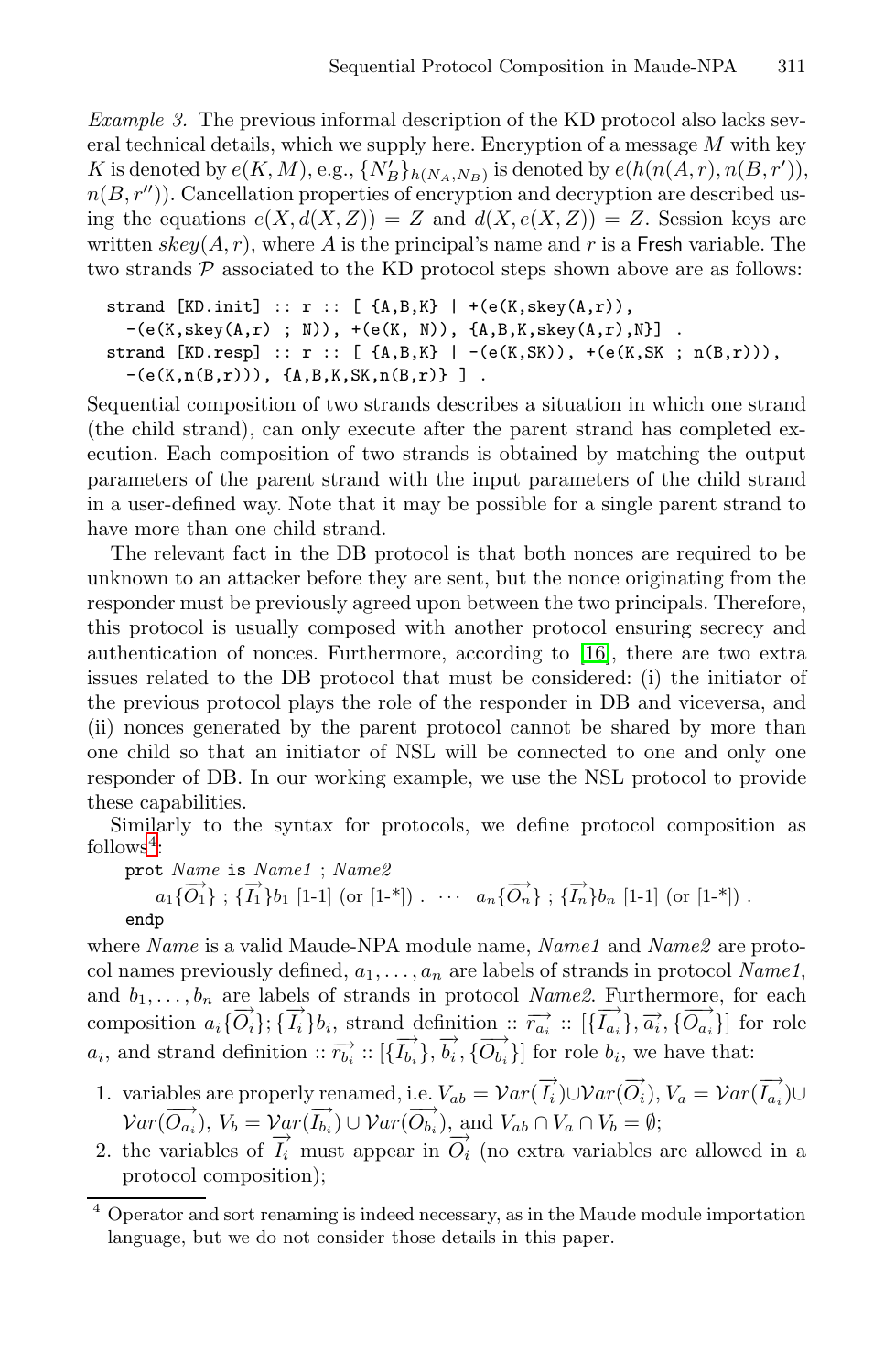*Example 3.* The previous informal description of the KD protocol also lacks several technical details, which we supply here. Encryption of a message  $M$  with key K is denoted by  $e(K, M)$ , e.g.,  $\{N'_B\}_{h(N_A, N_B)}$  is denoted by  $e(h(n(A, r), n(B, r')),$  $n(B, r'')$ ). Cancellation properties of encryption and decryption are described using the equations  $e(X, d(X, Z)) = Z$  and  $d(X, e(X, Z)) = Z$ . Session keys are written  $skey(A, r)$ , where A is the principal's name and r is a Fresh variable. The two strands  $P$  associated to the KD protocol steps shown above are as follows:

```
strand [KD.init] :: r :: [ {A,B,K} | +(e(K,skey(A,r)),
  -(e(K, \text{skey}(A, r), N)), -(e(K, N)), {A, B, K, \text{skey}(A, r), N}strand [KD.resp] :: r :: [ {A,B,K} ] - (e(K,SK)), +(e(K,SK ; n(B,r))),-(e(K, n(B, r))), \{A, B, K, SK, n(B, r)\}].
```
Sequential composition of two strands describes a situation in which one strand (the child strand), can only execute after the parent strand has completed execution. Each composition of two [stra](#page-15-6)nds is obtained by matching the output parameters of the parent strand with the input parameters of the child strand in a user-defined way. Note that it may be possible for a single parent strand to have more than one child strand.

The relevant fact in the DB protocol is that both nonces are required to be unknown to an attacker before they are sent, but the nonce originating from the responder must be previously agreed upon between the two principals. Therefore, this protocol is usually composed with another protocol ensuring secrecy and authentication of nonces. Furthermore, according to [16], there are two extra issues related to the DB protocol that must be considered: (i) the initiator of the previous protocol plays the role of the responder in DB and viceversa, and (ii) nonces generated by the parent protocol cannot be shared by more than one child so that an initiator of NSL will be connected to one and only one responder of DB. In our working example, we use the NSL protocol to provide these capabilities.

Similarly to the syntax for protocols, we define protocol composition as  $follows<sup>4</sup>$ :

prot *Name* is *Name1* ; *Name2*

 $a_1\{\overrightarrow{O_1}\}$ ;  $\{\overrightarrow{I_1}\}b_1$  [1-1] (or [1-\*]) .  $\cdots$   $a_n\{\overrightarrow{O_n}\}$ ;  $\{\overrightarrow{I_n}\}b_n$  [1-1] (or [1-\*]). endp

where *Name* is a valid Maude-NPA module name, *Name1* and *Name2* are protocol names previously defined,  $a_1, \ldots, a_n$  are labels of strands in protocol *Name1*, and  $b_1, \ldots, b_n$  are labels of strands in protocol *Name2*. Furthermore, for each composition  $a_i \{\overrightarrow{O_i}\}; \{\overrightarrow{I_i}\}_{b_i}$ , strand definition ::  $\overrightarrow{r_{a_i}}$  ::  $[\{\overrightarrow{I_{a_i}}\}, \overrightarrow{a_i}, \{\overrightarrow{O_{a_i}}\}]$  for role  $a_i$ , and strand definition ::  $\overrightarrow{r_{b_i}}$  ::  $[\overrightarrow{I_{b_i}}], \overrightarrow{b_i}, \overrightarrow{O_{b_i}}\}$  for role  $b_i$ , we have that:

- 1. variables are properly renamed, i.e.  $V_{ab} = Var(\overrightarrow{I_i}) \cup Var(\overrightarrow{O_i}), V_a = Var(\overrightarrow{I_{a_i}}) \cup$  $Var(\overrightarrow{O_{a_i}}), V_b = Var(\overrightarrow{I_{b_i}}) \cup Var(\overrightarrow{O_{b_i}}),$  and  $V_{ab} \cap V_a \cap V_b = \emptyset$ ;
- 2. the variables of  $\overrightarrow{I}_i$  must appear in  $\overrightarrow{O}_i$  (no extra variables are allowed in a protocol composition);

<sup>4</sup> Operator and sort renaming is indeed necessary, as in the Maude module importation language, but we do not consider those details in this paper.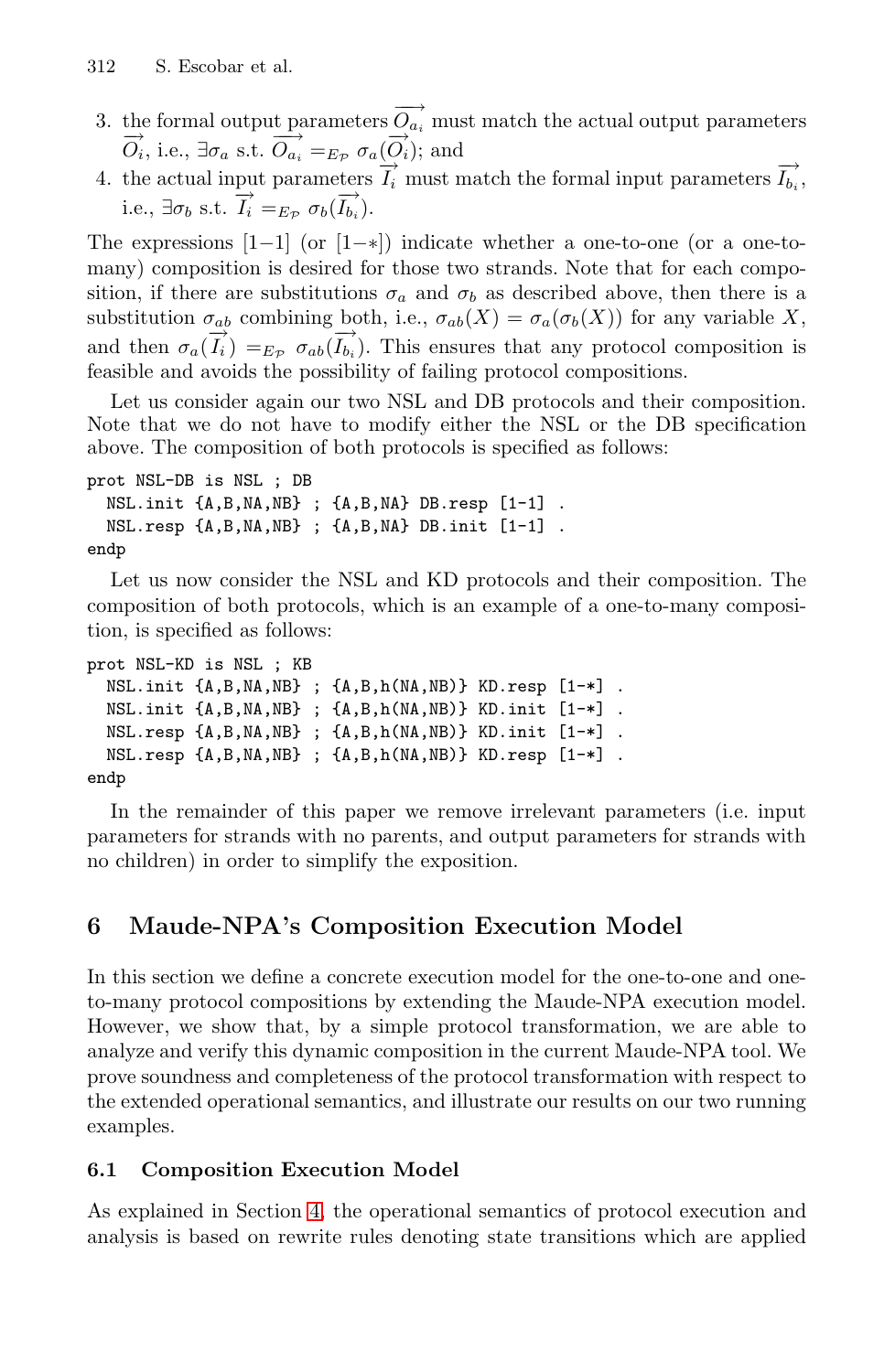- 312 S. Escobar et al.
- 3. the formal output parameters  $\overrightarrow{O_{a_i}}$  must match the actual output parameters  $\overrightarrow{O_i}$ , i.e.,  $\exists \sigma_a$  s.t.  $\overrightarrow{O_{a_i}} =_{E_{\mathcal{P}}} \sigma_a(\overrightarrow{O_i})$ ; and
- 4. the actual input parameters  $\overrightarrow{I_i}$  must match the formal input parameters  $\overrightarrow{I_{b_i}}$ , i.e.,  $\exists \sigma_b$  s.t.  $\overrightarrow{I}_i =_{E_{\mathcal{P}}} \sigma_b(\overrightarrow{I_{b_i}})$ .

The expressions [1−1] (or [1−∗]) indicate whether a one-to-one (or a one-tomany) composition is desired for those two strands. Note that for each composition, if there are substitutions  $\sigma_a$  and  $\sigma_b$  as described above, then there is a substitution  $\sigma_{ab}$  combining both, i.e.,  $\sigma_{ab}(X) = \sigma_a(\sigma_b(X))$  for any variable X, and then  $\sigma_a(\overrightarrow{I_i}) = E_p \sigma_{ab}(\overrightarrow{I_{b_i}})$ . This ensures that any protocol composition is feasible and avoids the possibility of failing protocol compositions.

Let us consider again our two NSL and DB protocols and their composition. Note that we do not have to modify either the NSL or the DB specification above. The composition of both protocols is specified as follows:

```
prot NSL-DB is NSL ; DB
  NSL.init {A,B,NA,NB} ; {A,B,NA} DB.resp [1-1] .
  NSL.resp {A,B,NA,NB} ; {A,B,NA} DB.init [1-1] .
endp
```
Let us now consider the NSL and KD protocols and their composition. The composition of both protocols, which is an example of a one-to-many composition, is specified as follows:

```
prot NSL-KD is NSL ; KB
 NSL.init {A,B,NA,NB} ; {A,B,h(NA,NB)} KD.resp [1-*] .
 NSL.init {A,B,NA,NB} ; {A,B,h(NA,NB)} KD.init [1-*] .
 NSL.resp {A,B,NA,NB} ; {A,B,h(NA,NB)} KD.init [1-*] .
 NSL.resp {A,B,NA,NB} ; {A,B,h(NA,NB)} KD.resp [1-*] .
endp
```
In the remainder of this paper we remove irrelevant parameters (i.e. input parameters for strands with no parents, and output parameters for strands with no children) in order to simplify the exposition.

# **6 Maude-NPA's Composition Execution Model**

<span id="page-9-1"></span>In this section we define a concrete execution model for the one-to-one and oneto-many protocol compositions by extending the Maude-NPA execution model. Howe[ve](#page-4-1)r, we show that, by a simple protocol transformation, we are able to analyze and verify this dynamic composition in the current Maude-NPA tool. We prove soundness and completeness of the protocol transformation with respect to the extended operational semantics, and illustrate our results on our two running examples.

### **6.1 Composition Execution Model**

As explained in Section 4, the operational semantics of protocol execution and analysis is based on rewrite rules denoting state transitions which are applied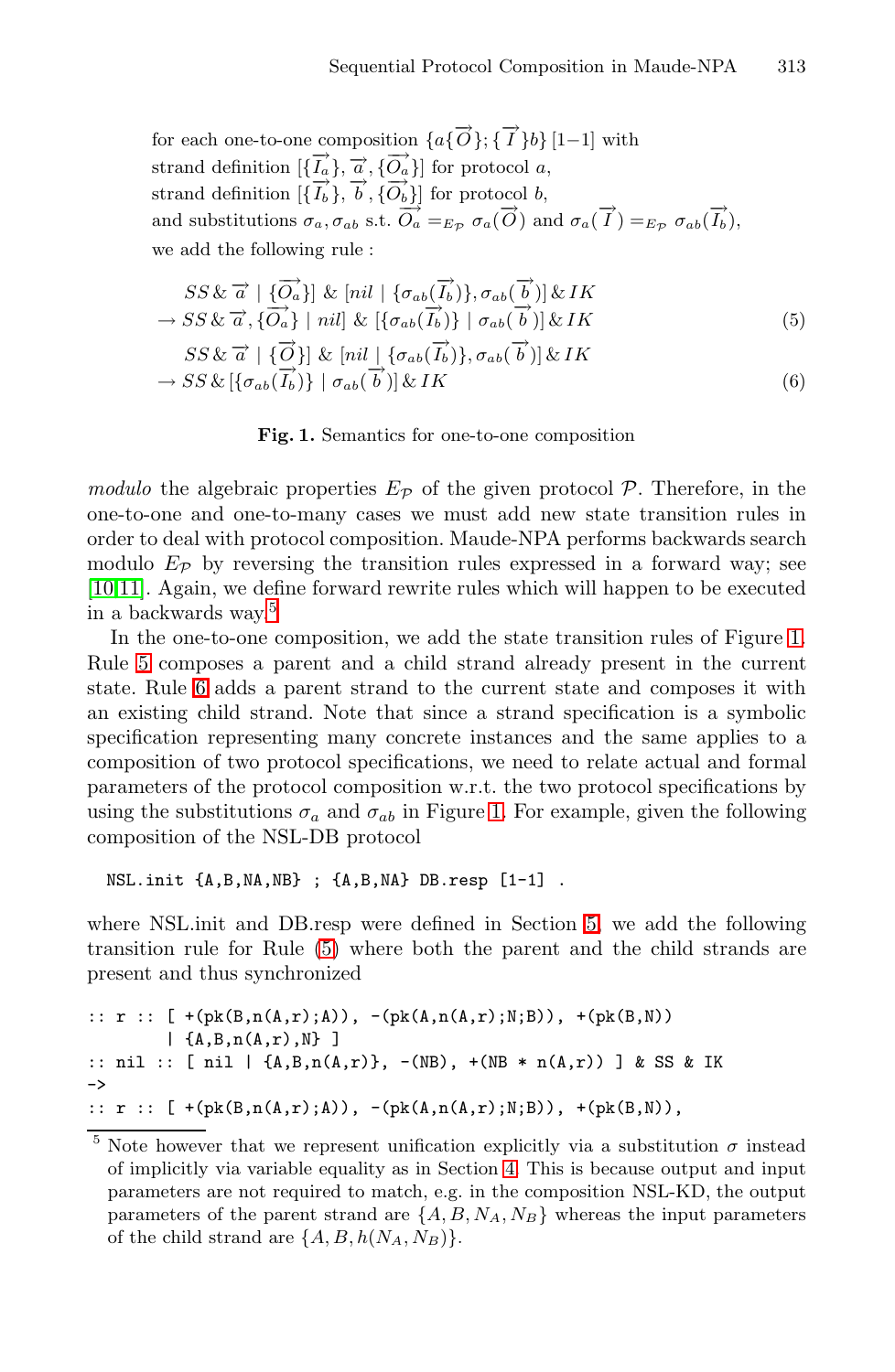<span id="page-10-1"></span>for each one-to-one composition  $\{a\{\overrightarrow{O}\}; \{\overrightarrow{I}\}b\}$  [1-1] with strand definition  $\{(\vec{l}_a^{\prime}), \vec{a}, (\vec{o}_a^{\prime})\}$  for protocol a, strand definition  $\{\overrightarrow{I_b}, \overrightarrow{b}, \{\overrightarrow{O_b}\}\}\$  for protocol b, and substitutions  $\sigma_a$ ,  $\sigma_{ab}$  s.t.  $\overrightarrow{O}_a =_{E_{\mathcal{P}}} \sigma_a(\overrightarrow{O})$  and  $\sigma_a(\overrightarrow{I}) =_{E_{\mathcal{P}}} \sigma_{ab}(\overrightarrow{I_b})$ , we add the following rule :

<span id="page-10-0"></span>
$$
SS & \overrightarrow{a} \mid \{\overrightarrow{O_a}\}\] \& [nil] \{\sigma_{ab}(\overrightarrow{I_b})\}, \sigma_{ab}(\overrightarrow{b})] \& IK
$$
\n
$$
\rightarrow SS & \overrightarrow{a}, \{\overrightarrow{O_a}\} \mid nil] \& [\{\sigma_{ab}(\overrightarrow{I_b})\} \mid \sigma_{ab}(\overrightarrow{b})] \& IK
$$
\n
$$
SS & \overrightarrow{a} \mid \{\overrightarrow{O}\}\] \& [nil] \{\sigma_{ab}(\overrightarrow{I_b})\}, \sigma_{ab}(\overrightarrow{b})] \& IK
$$
\n
$$
\rightarrow SS & [\{\sigma_{ab}(\overrightarrow{I_b})\} \mid \sigma_{ab}(\overrightarrow{b})] \& IK
$$
\n
$$
(6)
$$

**Fig. 1.** Semantics for one-to-one compositi[on](#page-10-0)

*modulo* the algebraic properties  $E_{\mathcal{P}}$  of the given protocol  $\mathcal{P}$ . Therefore, in the one-to-one and one-to-many cases we must add new state transition rules in order to deal with protocol composition. Maude-NPA performs backwards search modulo  $E_{\mathcal{P}}$  by reversing the transition rules expressed in a forward way; see [10,11]. Again, we define forward rewrite rules which will happen to be executed in a backwards way.<sup>5</sup>

In the one-to-one com[po](#page-10-0)sition, we add the state transition rules of Figure 1. Rule 5 composes a parent and a child strand already present in the current state. Rule 6 adds a parent strand to the current state and composes it with an existing child strand. Note that since a strand specification is a symbolic specification representing many co[ncr](#page-6-0)ete instances and the same applies to a compo[sit](#page-10-1)ion of two protocol specifications, we need to relate actual and formal parameters of the protocol composition w.r.t. the two protocol specifications by using the substitutions  $\sigma_a$  and  $\sigma_{ab}$  in Figure 1. For example, given the following composition of the NSL-DB protocol

NSL.init {A,B,NA,NB} ; {A,B,NA} DB.resp [1-1] .

where NSL.init and DB.resp were defined in Section 5, we add the following transition rule for Rule (5) where both the parent and the child strands are present and thus synchron[ize](#page-4-1)d

```
:: r : : [ +(\text{pk}(B, n(A, r); A)), -(\text{pk}(A, n(A, r); N; B)), +(\text{pk}(B, N))\{A,B,n(A,r),N\}]
:: nil :: [ nil | {A,B,n(A,r)}, -(NB), +(NB * n(A,r)) ] & SS & IK
->
:: r : : [ +(\text{pk}(B, n(A, r); A)), -(\text{pk}(A, n(A, r); N; B)), +(\text{pk}(B, N)),
```
<sup>&</sup>lt;sup>5</sup> Note however that we represent unification explicitly via a substitution  $\sigma$  instead of implicitly via variable equality as in Section 4. This is because output and input parameters are not required to match, e.g. in the composition NSL-KD, the output parameters of the parent strand are  $\{A, B, N_A, N_B\}$  whereas the input parameters of the child strand are  $\{A, B, h(N_A, N_B)\}.$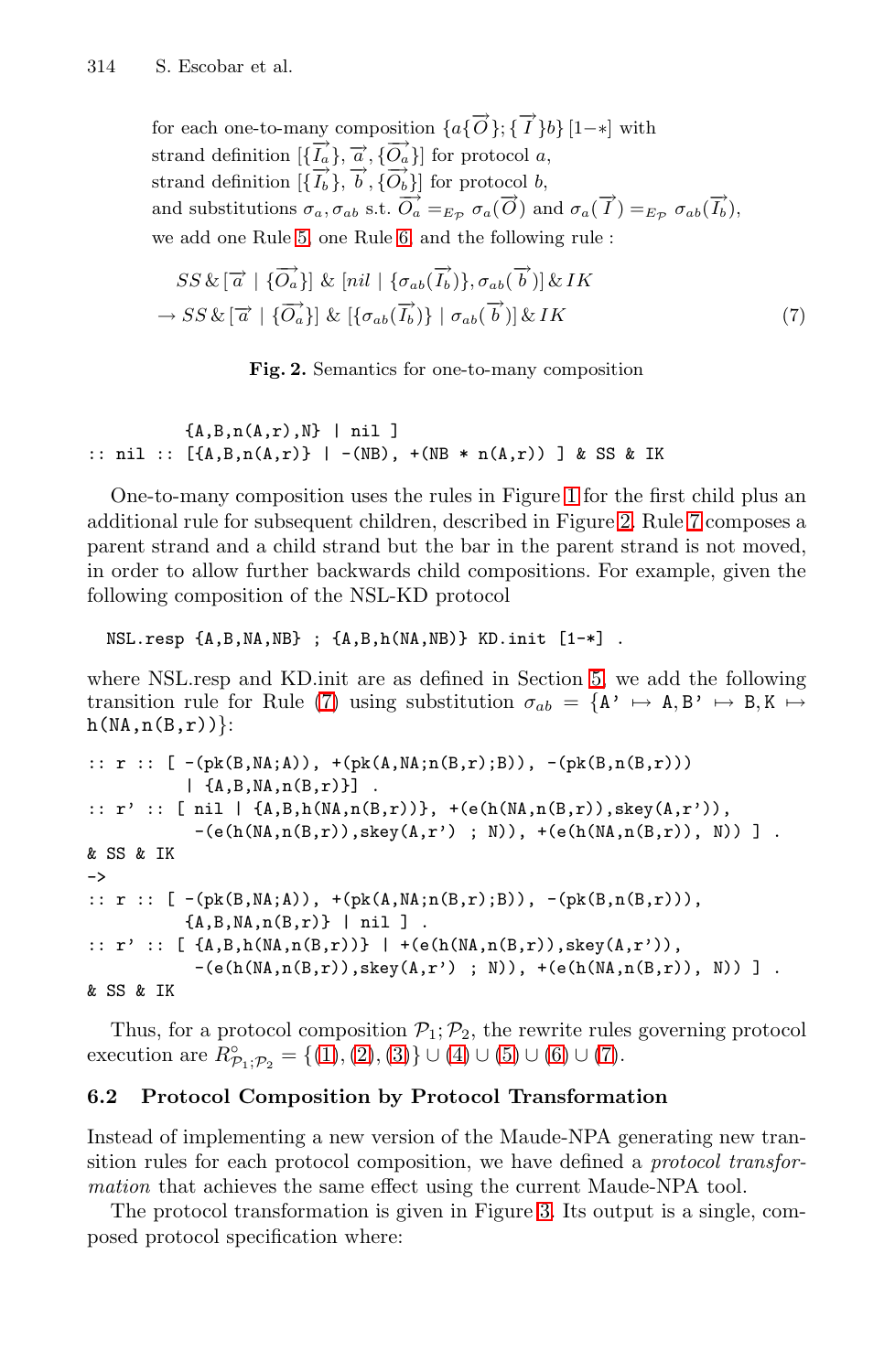for each one-to-many composition  $\{a\{\overrightarrow{O}\}; \{\overrightarrow{I}\}b\}$  [1– $*$ ] with strand definition  $[\{\overrightarrow{I_a}\}, \overrightarrow{a}, \{\overrightarrow{O_a}\}]$  for protocol a, strand definition  $\{\overrightarrow{I_b}, \overrightarrow{b}, \{\overrightarrow{O_b}\}\}\$  for protocol b, and substitutions  $\sigma_a$ ,  $\sigma_{ab}$  s.t.  $\overrightarrow{O}_a =_{E_{\mathcal{P}}} \sigma_a(\overrightarrow{O})$  and  $\sigma_a(\overrightarrow{I}) =_{E_{\mathcal{P}}} \sigma_{ab}(\overrightarrow{I_b})$ , we add one Rule 5, one Rule 6, and the following rule :

<span id="page-11-0"></span>
$$
SS\&[\vec{a} \mid \{\vec{O_a}\}]\&[nil] \{\sigma_{ab}(\vec{I_b})\}, \sigma_{ab}(\vec{b})]\&IK
$$
  

$$
\rightarrow SS\&[\vec{a} \mid \{\vec{O_a}\}]\&[\{\sigma_{ab}(\vec{I_b})\}] \mid \sigma_{ab}(\vec{b})]\&IK
$$
 (7)

<span id="page-11-1"></span>**Fig. 2.** Semantics for one-to-many composition

 ${A,B,n(A,r),N}$  | nil ] :: nil ::  $[{A, B, n(A, r)} ] -({NB, +(NB * n(A, r)) } ]$  & SS & IK

One-to-many composition uses th[e](#page-6-0) [r](#page-6-0)ules in Figure 1 for the first child plus an additi[ona](#page-11-1)l rule for subsequent children, described in Figure 2. Rule 7 composes a parent strand and a child strand but the bar in the parent strand is not moved, in order to allow further backwards child compositions. For example, given the following composition of the NSL-KD protocol

NSL.resp {A,B,NA,NB} ; {A,B,h(NA,NB)} KD.init [1-\*] .

where NSL.resp and KD.init are as defined in Section 5, we add the following transition rule for Rule (7) using substitution  $\sigma_{ab} = \{A' \mapsto A, B' \mapsto B, K \mapsto A' \}$  $h(NA,n(B,r))$ :

```
:: r : [ -(\text{pk}(B, NA; A)), +(\text{pk}(A, NA; n(B, r); B)), -(\text{pk}(B, n(B, r))))[ {A,B,NA,n(B,r)} ]:: r' :: [ nil | {A,B,h(NA,n(B,r))}, +(e(h(NA,n(B,r)), skey(A,r')),
            -(e(h(NA, n(B, r)), skey(A, r', k))), +(e(h(NA, n(B, r)), N))].
& SS & IK
->
:: r : [-(pk(B, NA; A)), +(pk(A, NA; n(B, r); B)), -(pk(B, n(B, r))),{A,B,NA,n(B,r)} | nil ].
:: r' :: [ {A,B,h(NA,n(B,r))} | +(e(h(NA,n(B,r)),skey(A,r')),
            -(e(h(NA, n(B, r)), skey(A, r')); N), +(e(h(NA, n(B, r)), N))].
& SS & IK
```
Thus, for a protocol compos[it](#page-12-0)ion  $\mathcal{P}_1$ ;  $\mathcal{P}_2$ , the rewrite rules governing protocol execution are  $R_{\mathcal{P}_1;\mathcal{P}_2}^{\circ} = \{(1), (2), (3)\} \cup (4) \cup (5) \cup (6) \cup (7)$ .

# **6.2 Protocol Composition by Protocol Transformation**

Instead of implementing a new version of the Maude-NPA generating new transition rules for each protocol composition, we have defined a *protocol transformation* that achieves the same effect using the current Maude-NPA tool.

The protocol transformation is given in Figure 3. Its output is a single, composed protocol specification where: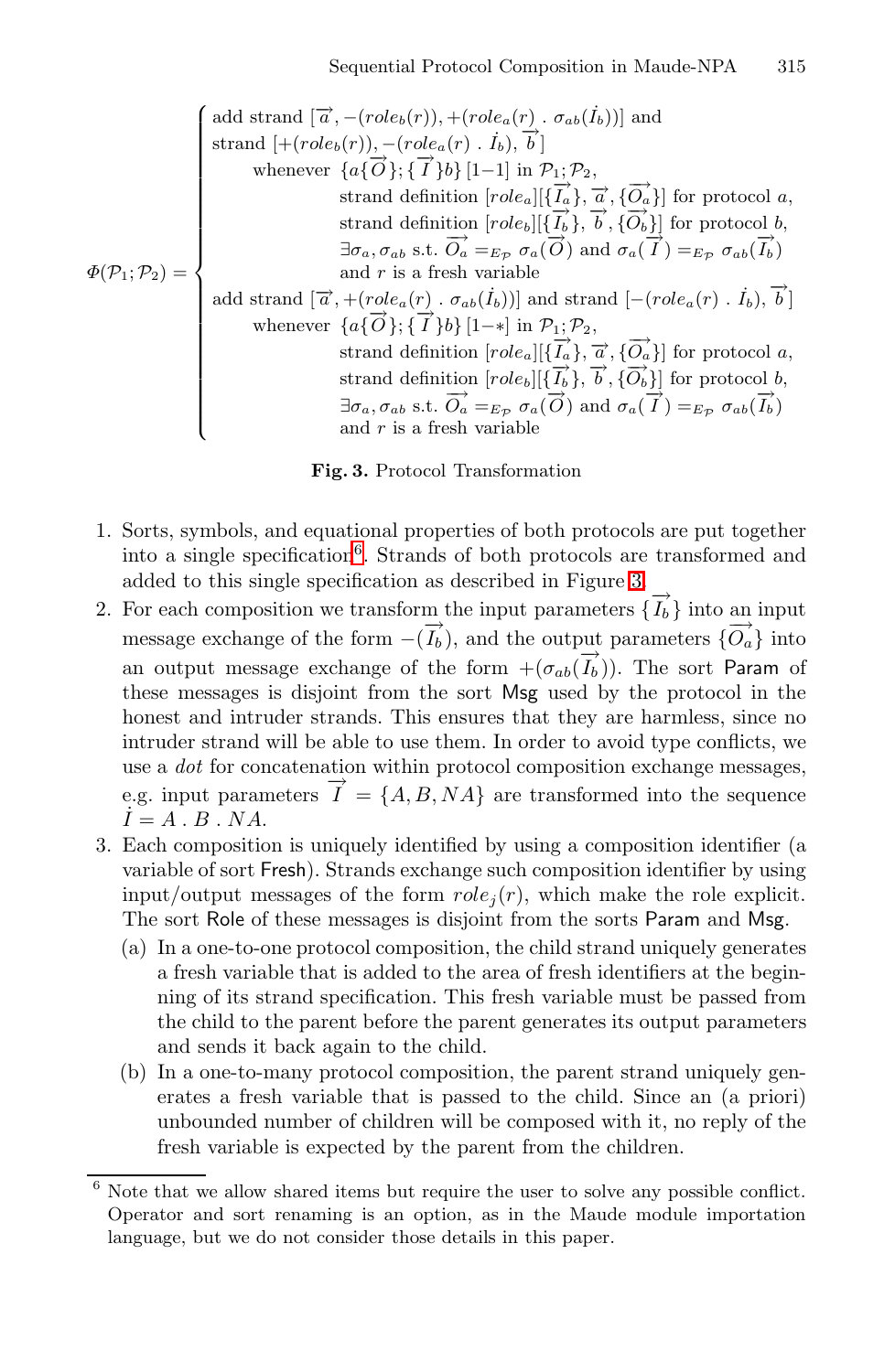$$
\Phi(\mathcal{P}_1; \mathcal{P}_2) = \begin{cases}\n\text{add strand } [\vec{a}, -(role_b(r)), +(role_a(r) \cdot \vec{\sigma}_{ab}(\vec{I}_b))] \text{ and} \\
\text{strand } [+(role_b(r)), -(role_a(r) \cdot \vec{I}_b), \vec{b}] \\
\text{whenever } \{a\{\vec{O}\}; \{\vec{I}\}b\} [1-1] \text{ in } \mathcal{P}_1; \mathcal{P}_2, \\
\text{strand definition } [role_a][\{\vec{I}_a\}, \vec{\alpha}, \{\vec{O}_a\}] \text{ for protocol } a, \\
\text{strand definition } [role_b][\{\vec{I}_b\}, \vec{b}, \{\vec{O}_b\}] \text{ for protocol } b, \\
\exists \sigma_a, \sigma_{ab} \text{ s.t. } \vec{O}_a =_{E_{\mathcal{P}}} \sigma_a(\vec{O}) \text{ and } \sigma_a(\vec{I}) =_{E_{\mathcal{P}}} \sigma_{ab}(\vec{I}_b) \\
\text{add strand } [\vec{a}, +(role_a(r) \cdot \vec{\sigma}_{ab}(\vec{I}_b))] \text{ and strand } [-(role_a(r) \cdot \vec{I}_b), \vec{b}] \\
\text{whenever } \{a\{\vec{O}\}; \{\vec{I}\}b\} [1-\ast] \text{ in } \mathcal{P}_1; \mathcal{P}_2, \\
\text{strand definition } [role_a][\{\vec{I}_a\}, \vec{a}, \{\vec{O}_a\}] \text{ for protocol } a, \\
\text{strand definition } [role_b][\{\vec{I}_b\}, \vec{b}, \{\vec{O}_b\}] \text{ for protocol } b, \\
\exists \sigma_a, \sigma_{ab} \text{ s.t. } \vec{O}_a =_{E_{\mathcal{P}}} \sigma_a(\vec{O}) \text{ and } \sigma_a(\vec{I}) =_{E_{\mathcal{P}}} \sigma_{ab}(\vec{I}_b) \\
\text{and } r \text{ is a fresh variable}\n\end{cases}
$$

<span id="page-12-0"></span>**Fig. 3.** Protocol Transformation

- 1. Sorts, symbols, and equational properties of both protocols are put together into a single specification<sup>6</sup>. Strands of both protocols are transformed and added to this single specification as described in Figure 3.
- 2. For each composition we transform the input parameters  $\{\overrightarrow{l_b}\}$  into an input message exchange of the form  $-(\vec{I}_b)$ , and the output parameters  $\{\vec{O}_a\}$  into message exchange of the form  $-(\vec{I}_b)$ , and the output parameters  $\{\vec{O}_a\}$  into an output message exchange of the form  $+(\sigma_{ab}(\vec{I}_b))$ . The sort Param of<br>these messages is disjoint from the sort Msg used by the protocol in the these messages is disjoint from the sort Msg used by the protocol in the honest and intruder strands. This ensures that they are harmless, since no intruder strand will be able to use them. In order to avoid type conflicts, we use a *dot* for concatenation within protocol composition exchange messages, e.g. input parameters  $\overline{I} = \{A, B, NA\}$  are transformed into the sequence  $\dot{I} = A \cdot B \cdot N A$ .
- 3. Each composition is uniquely identified by using a composition identifier (a variable of sort Fresh). Strands exchange such composition identifier by using input/output messages of the form  $role_i(r)$ , which make the role explicit. The sort Role of these messages is disjoint from the sorts Param and Msg.
	- (a) In a one-to-one protocol composition, the child strand uniquely generates a fresh variable that is added to the area of fresh identifiers at the beginning of its strand specification. This fresh variable must be passed from the child to the parent before the parent generates its output parameters and sends it back again to the child.
	- (b) In a one-to-many protocol composition, the parent strand uniquely generates a fresh variable that is passed to the child. Since an (a priori) unbounded number of children will be composed with it, no reply of the fresh variable is expected by the parent from the children.

 $6$  Note that we allow shared items but require the user to solve any possible conflict. Operator and sort renaming is an option, as in the Maude module importation language, but we do not consider those details in this paper.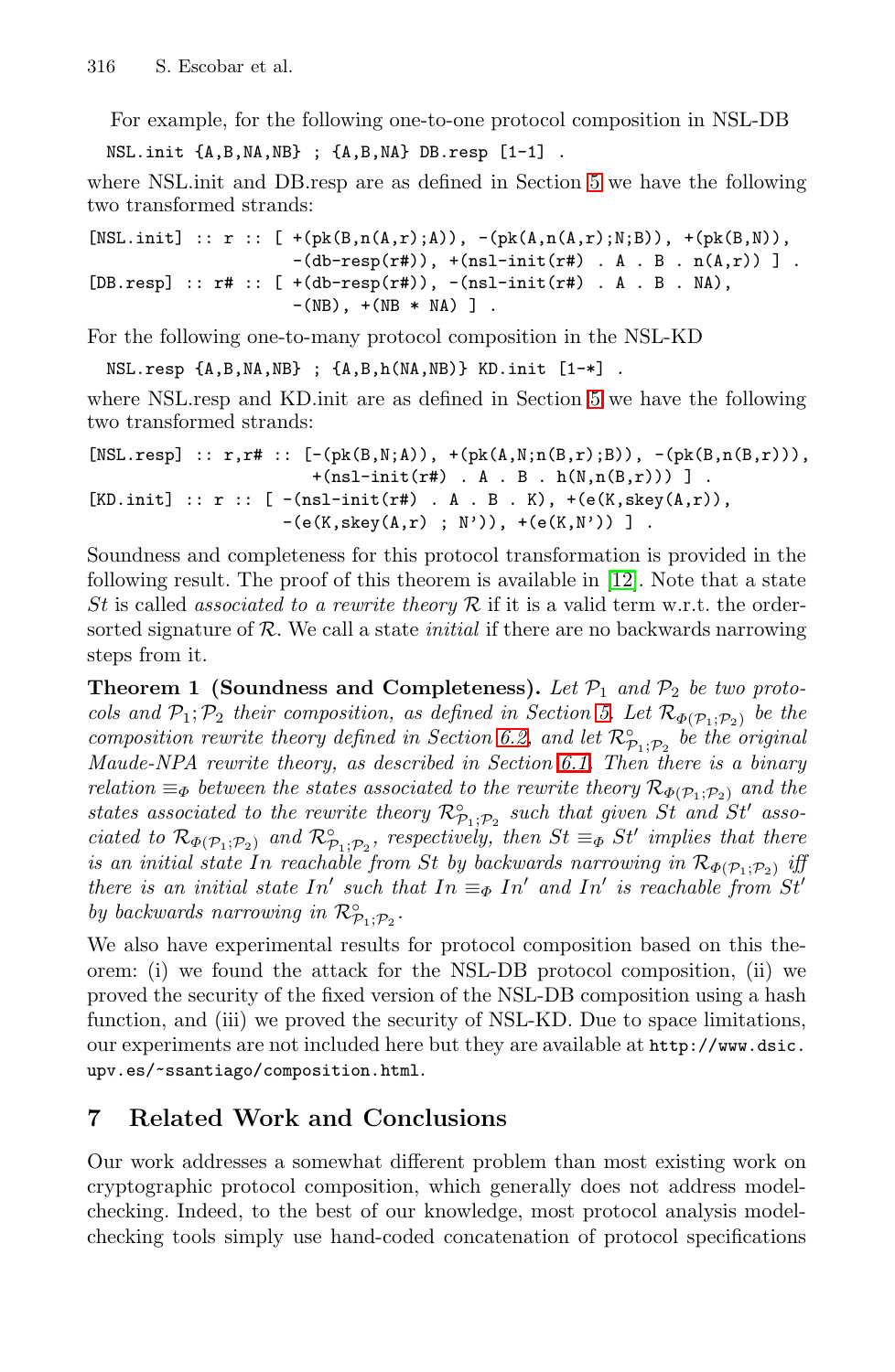For example, for the following one-to-one protocol composition in NSL-DB

NSL.init {A,B,NA,NB} ; {A,B,NA} DB.resp [1-1] .

where NSL.init and DB.resp are as defined in Section 5 we have the following two transformed strands:

```
[NSL.init] :: r : [ +(pk(B,n(A,r);A)) , -(pk(A,n(A,r);N;B)) , +(pk(B,N)),-(db - resp(r#)), +(nsl - init(r#) . A . B . n(A,r)) ].
[DB.resp] :: r# :: [ +(db-resp(r#)), -(nsl-init(r#) . A . B . NA),
                    -(NB), +(NB * NA)].
```
For the following one-to-many protocol composition in the NSL-KD

 $NSL.resp \{A,B,NA,NB\}$ ;  $\{A,B,h(NA,NB)\}$  KD.init  $[1-*]$ .

where NSL.resp and KD.init are as d[efine](#page-15-7)d in Section 5 we have the following two transformed strands:

[NSL.resp] ::  $r, r#$  :: [-(pk(B,N;A)), +(pk(A,N;n(B,r);B)), -(pk(B,n(B,r))),  $+(nsl-unit(r#) . A . B . h(N,n(B,r))) ] .$ [KD.init] ::  $r$  :: [  $-(nsl-int(r# )$  . A . B . K),  $+(e(K,skey(A,r))$ ,  $-(e(K, skey(A, r); N'))$ ,  $+(e(K, N'))$ ].

Soundness and completen[ess](#page-11-2) [f](#page-11-2)or this protocol transformation is provided in the following result. The proof of thi[s](#page-9-1) [the](#page-9-1)orem is available in [12]. Note that a state St is called *associated to a rewrite theory* R if it is a valid term w.r.t. the ordersorted signature of R. We call a state *initial* if there are no backwards narrowing steps from it.

**Theorem 1 (Soundness and Completeness).** Let  $\mathcal{P}_1$  and  $\mathcal{P}_2$  be two proto*cols and*  $\mathcal{P}_1$ ;  $\mathcal{P}_2$  *their composition, as defined in Section 5. Let*  $\mathcal{R}_{\Phi(\mathcal{P}_1;\mathcal{P}_2)}$  *be the composition rewrite theory defined in Section 6.2, and let*  $\mathcal{R}^{\circ}_{p_1, p_2}$  *be the original Maude-NPA rewrite theory, as described in Section 6.1. Then there is a binary relation*  $\equiv_{\Phi}$  *between the states associated to the rewrite theory*  $\mathcal{R}_{\Phi(\mathcal{P}_1; \mathcal{P}_2)}$  *and the states associated to the rewrite theory*  $\mathcal{R}^{\circ}_{\mathcal{P}_1;\mathcal{P}_2}$  *such that given* St *and* St' *associated* to the rewrite theory  $\mathcal{R}^{\circ}_{\mathcal{P}_1;\mathcal{P}_2}$  *such that given* St *and* St' *associated ciated to*  $\mathcal{R}_{\Phi(\mathcal{P}_1;\mathcal{P}_2)}$  *and*  $\mathcal{R}_{\mathcal{P}_1;\mathcal{P}_2}^{\circ}$ *, respectively, then*  $St \equiv_{\Phi} St'$  *implies that there is an initial state* In *reachable* from St by [backwards](http://www.dsic.upv.es/~ssantiago/composition.html) [narrowi](http://www.dsic.upv.es/~ssantiago/composition.html)ng in  $\mathcal{R}_{\Phi(\mathcal{P}_1;\mathcal{P}_2)}$  iff *[there](http://www.dsic.upv.es/~ssantiago/composition.html) [is](http://www.dsic.upv.es/~ssantiago/composition.html)* [an](http://www.dsic.upv.es/~ssantiago/composition.html) *[initial](http://www.dsic.upv.es/~ssantiago/composition.html) state*  $In'$  *such that*  $In \equiv_{\Phi} In'$  *and*  $In'$  *is reachable from*  $St'$ by backwards narrowing in  $\mathcal{R}_{\mathcal{P}_1; \mathcal{P}_2}^{\circ}$ .

<span id="page-13-0"></span>We also have experimental results for protocol composition based on this theorem: (i) we found the attack for the NSL-DB protocol composition, (ii) we proved the security of the fixed version of the NSL-DB composition using a hash function, and (iii) we proved the security of NSL-KD. Due to space limitations, our experiments are not included here but they are available at http://www.dsic. upv.es/~ssantiago/composition.html.

# **7 Related Work and Conclusions**

Our work addresses a somewhat different problem than most existing work on cryptographic protocol composition, which generally does not address modelchecking. Indeed, to the best of our knowledge, most protocol analysis modelchecking tools simply use hand-coded concatenation of protocol specifications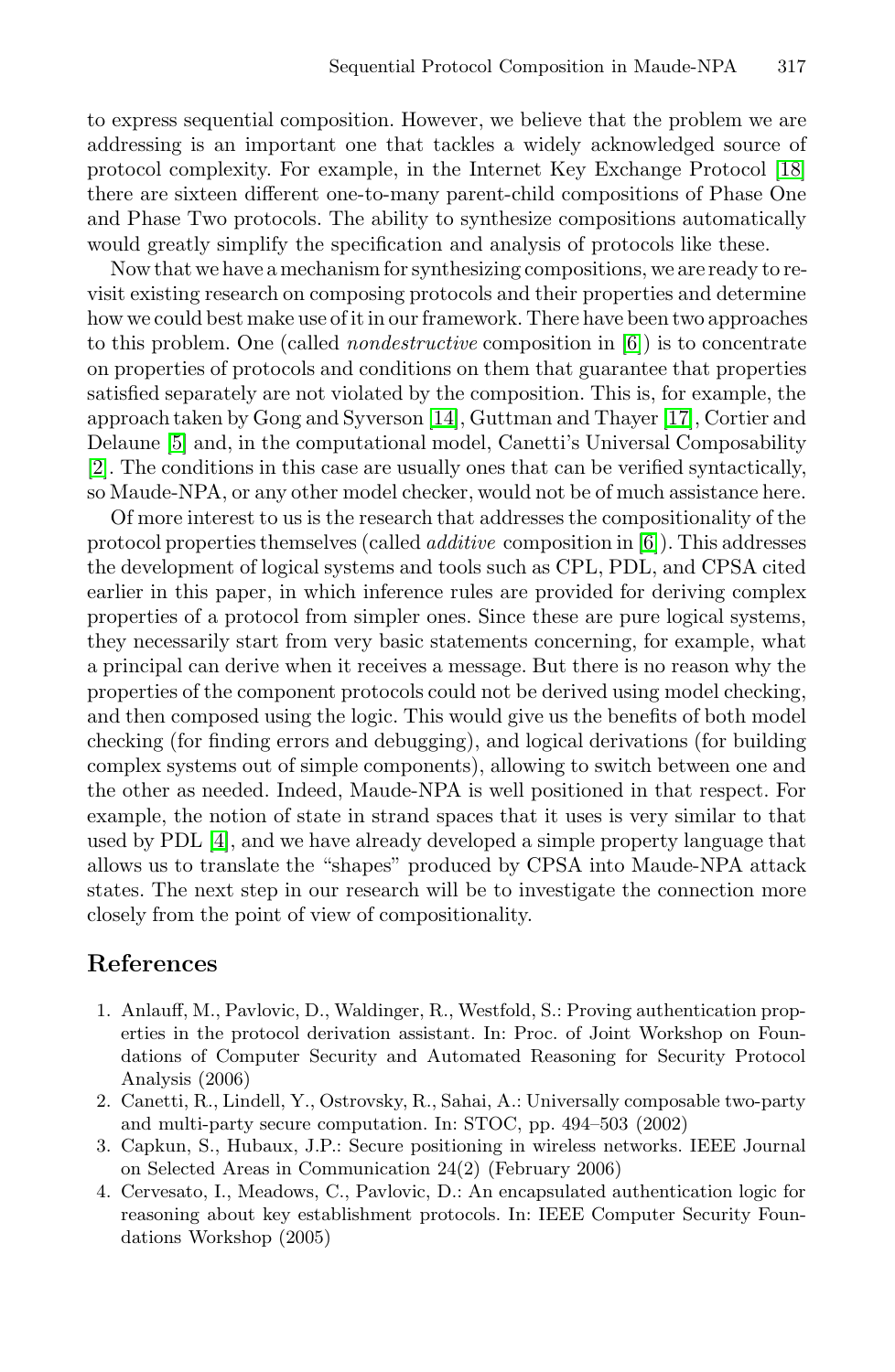to express sequential composition. However, we believe that the problem we are addressing is an important one that ta[ck](#page-15-8)les a widely acknowledged source of protocol complexity. For example, in the Internet Key Exchange Protocol [18] there are sixteen different one-to-many parent-child compositions of Phase One and Phase Two pr[otoc](#page-15-9)ols. The ability to syn[the](#page-15-10)size compositions automatically would greatly simplify the specification and analysis of protocols like these.

Now that we have a mechanism for synthesizing compositions, we are ready to revisit existing research on composing protocols and their properties and determine how we could best make use of it in our framework. There have been two approaches to this problem. One (called *nondestructiv[e](#page-15-8)* composition in [6]) is to concentrate on properties of protocols and conditions on them that guarantee that properties satisfied separately are not violated by the composition. This is, for example, the approach taken by Gong and Syverson [14], Guttman and Thayer [17], Cortier and Delaune [5] and, in the computational model, Canetti's Universal Composability [2]. The conditions in this case are usually ones that can be verified syntactically, so Maude-NPA, or any other model checker, would not be of much assistance here.

Of more interest to us is the research that addresses the compositionality of the protocol properties themselves (called *additive* composition in [6]). This addresses the development of logical systems and tools such as CPL, PDL, and CPSA cited earlier in this paper, in which inference rules are provided for deriving complex properties of a protocol from simpler ones. Since these are pure logical systems, they necessarily start from very basic statements concerning, for example, what a principal can derive when it receives a message. But there is no reason why the properties of the component protocols could not be derived using model checking, and then composed using the logic. This would give us the benefits of both model checking (for finding errors and debugging), and logical derivations (for building complex systems out of simple components), allowing to switch between one and the other as needed. Indeed, Maude-NPA is well positioned in that respect. For example, the notion of state in strand spaces that it uses is very similar to that used by PDL [4], and we have already developed a simple property language that allows us to translate the "shapes" produced by CPSA into Maude-NPA attack states. The next step in our research will be to investigate the connection more closely from the point of view of compositionality.

### <span id="page-14-0"></span>**References**

- 1. Anlauff, M., Pavlovic, D., Waldinger, R., Westfold, S.: Proving authentication properties in the protocol derivation assistant. In: Proc. of Joint Workshop on Foundations of Computer Security and Automated Reasoning for Security Protocol Analysis (2006)
- 2. Canetti, R., Lindell, Y., Ostrovsky, R., Sahai, A.: Universally composable two-party and multi-party secure computation. In: STOC, pp. 494–503 (2002)
- 3. Capkun, S., Hubaux, J.P.: Secure positioning in wireless networks. IEEE Journal on Selected Areas in Communication 24(2) (February 2006)
- 4. Cervesato, I., Meadows, C., Pavlovic, D.: An encapsulated authentication logic for reasoning about key establishment protocols. In: IEEE Computer Security Foundations Workshop (2005)